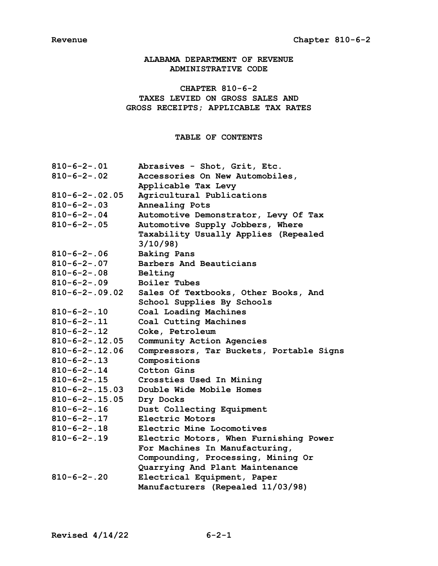# **ALABAMA DEPARTMENT OF REVENUE ADMINISTRATIVE CODE**

# **CHAPTER 810-6-2 TAXES LEVIED ON GROSS SALES AND GROSS RECEIPTS; APPLICABLE TAX RATES**

# **TABLE OF CONTENTS**

| $810 - 6 - 2 - .01$   | Abrasives - Shot, Grit, Etc.             |
|-----------------------|------------------------------------------|
| $810 - 6 - 2 - .02$   | Accessories On New Automobiles,          |
|                       | Applicable Tax Levy                      |
| $810 - 6 - 2 - 02.05$ | Agricultural Publications                |
| $810 - 6 - 2 - .03$   | Annealing Pots                           |
| $810 - 6 - 2 - 04$    | Automotive Demonstrator, Levy Of Tax     |
| $810 - 6 - 2 - .05$   | Automotive Supply Jobbers, Where         |
|                       | Taxability Usually Applies (Repealed     |
|                       | 3/10/98                                  |
| $810 - 6 - 2 - .06$   | <b>Baking Pans</b>                       |
| $810 - 6 - 2 - .07$   | Barbers And Beauticians                  |
| $810 - 6 - 2 - .08$   | Belting                                  |
| $810 - 6 - 2 - .09$   | Boiler Tubes                             |
| $810 - 6 - 2 - 09.02$ | Sales Of Textbooks, Other Books, And     |
|                       | School Supplies By Schools               |
| $810 - 6 - 2 - 10$    | Coal Loading Machines                    |
| $810 - 6 - 2 - 11$    | Coal Cutting Machines                    |
| $810 - 6 - 2 - 12$    | Coke, Petroleum                          |
| $810 - 6 - 2 - 12.05$ | Community Action Agencies                |
| $810 - 6 - 2 - 12.06$ | Compressors, Tar Buckets, Portable Signs |
| $810 - 6 - 2 - 13$    | Compositions                             |
| $810 - 6 - 2 - 14$    | Cotton Gins                              |
| $810 - 6 - 2 - .15$   | Crossties Used In Mining                 |
| $810 - 6 - 2 - 15.03$ | Double Wide Mobile Homes                 |
| $810 - 6 - 2 - 15.05$ | Dry Docks                                |
| $810 - 6 - 2 - 16$    | Dust Collecting Equipment                |
| $810 - 6 - 2 - 17$    | Electric Motors                          |
| $810 - 6 - 2 - 18$    | Electric Mine Locomotives                |
| $810 - 6 - 2 - 19$    | Electric Motors, When Furnishing Power   |
|                       | For Machines In Manufacturing,           |
|                       | Compounding, Processing, Mining Or       |
|                       | Quarrying And Plant Maintenance          |
| $810 - 6 - 2 - .20$   | Electrical Equipment, Paper              |
|                       | Manufacturers (Repealed 11/03/98)        |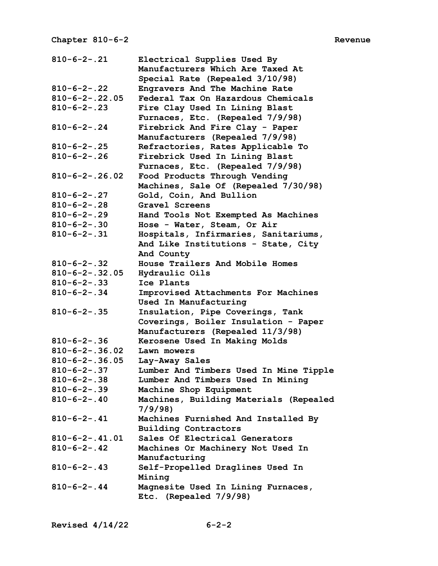| $810 - 6 - 2 - .21$    | Electrical Supplies Used By            |
|------------------------|----------------------------------------|
|                        | Manufacturers Which Are Taxed At       |
|                        | Special Rate (Repealed 3/10/98)        |
| $810 - 6 - 2 - .22$    | Engravers And The Machine Rate         |
| $810 - 6 - 2 - .22.05$ | Federal Tax On Hazardous Chemicals     |
| $810 - 6 - 2 - .23$    | Fire Clay Used In Lining Blast         |
|                        | Furnaces, Etc. (Repealed 7/9/98)       |
| $810 - 6 - 2 - .24$    | Firebrick And Fire Clay - Paper        |
|                        | Manufacturers (Repealed 7/9/98)        |
| $810 - 6 - 2 - .25$    | Refractories, Rates Applicable To      |
| $810 - 6 - 2 - .26$    | Firebrick Used In Lining Blast         |
|                        | Furnaces, Etc. (Repealed 7/9/98)       |
| $810 - 6 - 2 - .26.02$ | Food Products Through Vending          |
|                        | Machines, Sale Of (Repealed 7/30/98)   |
| $810 - 6 - 2 - .27$    | Gold, Coin, And Bullion                |
| $810 - 6 - 2 - .28$    | Gravel Screens                         |
| $810 - 6 - 2 - .29$    | Hand Tools Not Exempted As Machines    |
| $810 - 6 - 2 - .30$    | Hose - Water, Steam, Or Air            |
| $810 - 6 - 2 - .31$    | Hospitals, Infirmaries, Sanitariums,   |
|                        | And Like Institutions - State, City    |
|                        | And County                             |
| $810 - 6 - 2 - .32$    | House Trailers And Mobile Homes        |
| $810 - 6 - 2 - .32.05$ | Hydraulic Oils                         |
| $810 - 6 - 2 - .33$    | Ice Plants                             |
| $810 - 6 - 2 - .34$    | Improvised Attachments For Machines    |
|                        | Used In Manufacturing                  |
| $810 - 6 - 2 - .35$    | Insulation, Pipe Coverings, Tank       |
|                        | Coverings, Boiler Insulation - Paper   |
|                        | Manufacturers (Repealed 11/3/98)       |
| $810 - 6 - 2 - .36$    | Kerosene Used In Making Molds          |
| $810 - 6 - 2 - .36.02$ | Lawn mowers                            |
| $810 - 6 - 2 - .36.05$ | Lay-Away Sales                         |
| $810 - 6 - 2 - .37$    | Lumber And Timbers Used In Mine Tipple |
| $810 - 6 - 2 - .38$    | Lumber And Timbers Used In Mining      |
| $810 - 6 - 2 - .39$    | Machine Shop Equipment                 |
| $810 - 6 - 2 - .40$    | Machines, Building Materials (Repealed |
|                        | 7/9/98                                 |
| $810 - 6 - 2 - .41$    | Machines Furnished And Installed By    |
|                        | <b>Building Contractors</b>            |
| $810 - 6 - 2 - .41.01$ | Sales Of Electrical Generators         |
| $810 - 6 - 2 - .42$    | Machines Or Machinery Not Used In      |
|                        | Manufacturing                          |
| $810 - 6 - 2 - .43$    | Self-Propelled Draglines Used In       |
|                        | Mining                                 |
| $810 - 6 - 2 - .44$    | Magnesite Used In Lining Furnaces,     |
|                        | Etc. (Repealed 7/9/98)                 |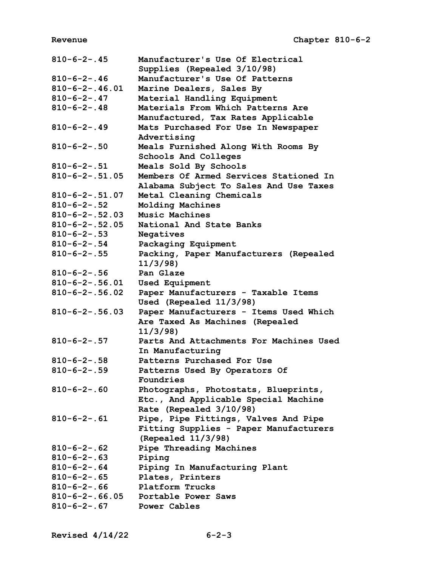| $810 - 6 - 2 - .45$                           | Manufacturer's Use Of Electrical        |
|-----------------------------------------------|-----------------------------------------|
|                                               | Supplies (Repealed 3/10/98)             |
| $810 - 6 - 2 - .46$                           | Manufacturer's Use Of Patterns          |
| $810 - 6 - 2 - .46.01$                        | Marine Dealers, Sales By                |
| $810 - 6 - 2 - .47$                           | Material Handling Equipment             |
| $810 - 6 - 2 - .48$                           | Materials From Which Patterns Are       |
|                                               | Manufactured, Tax Rates Applicable      |
| $810 - 6 - 2 - .49$                           | Mats Purchased For Use In Newspaper     |
|                                               | Advertising                             |
| $810 - 6 - 2 - .50$                           | Meals Furnished Along With Rooms By     |
|                                               | Schools And Colleges                    |
| $810 - 6 - 2 - .51$                           | Meals Sold By Schools                   |
| $810 - 6 - 2 - .51.05$                        | Members Of Armed Services Stationed In  |
|                                               | Alabama Subject To Sales And Use Taxes  |
| $810 - 6 - 2 - .51.07$                        | Metal Cleaning Chemicals                |
| $810 - 6 - 2 - .52$                           | Molding Machines                        |
| $810 - 6 - 2 - .52.03$                        | Music Machines                          |
| $810 - 6 - 2 - .52.05$                        | National And State Banks                |
| $810 - 6 - 2 - .53$                           | Negatives                               |
| $810 - 6 - 2 - .54$                           | Packaging Equipment                     |
| $810 - 6 - 2 - .55$                           | Packing, Paper Manufacturers (Repealed  |
|                                               | 11/3/98                                 |
| $810 - 6 - 2 - .56$                           | Pan Glaze                               |
| $810 - 6 - 2 - .56.01$                        | <b>Used Equipment</b>                   |
| $810 - 6 - 2 - .56.02$                        | Paper Manufacturers - Taxable Items     |
|                                               | Used (Repealed 11/3/98)                 |
| $810 - 6 - 2 - .56.03$                        | Paper Manufacturers - Items Used Which  |
|                                               | Are Taxed As Machines (Repealed         |
|                                               | 11/3/98                                 |
| $810 - 6 - 2 - .57$                           | Parts And Attachments For Machines Used |
|                                               | In Manufacturing                        |
| $810 - 6 - 2 - .58$                           | Patterns Purchased For Use              |
| $810 - 6 - 2 - .59$                           | Patterns Used By Operators Of           |
|                                               | Foundries                               |
| $810 - 6 - 2 - .60$                           | Photographs, Photostats, Blueprints,    |
|                                               | Etc., And Applicable Special Machine    |
|                                               | Rate (Repealed 3/10/98)                 |
| $810 - 6 - 2 - .61$                           | Pipe, Pipe Fittings, Valves And Pipe    |
|                                               | Fitting Supplies - Paper Manufacturers  |
|                                               | (Repealed 11/3/98)                      |
| $810 - 6 - 2 - .62$                           |                                         |
|                                               |                                         |
|                                               | Pipe Threading Machines                 |
| $810 - 6 - 2 - .63$                           | Piping                                  |
| $810 - 6 - 2 - .64$                           | Piping In Manufacturing Plant           |
| $810 - 6 - 2 - .65$                           | Plates, Printers                        |
| $810 - 6 - 2 - .66$                           | Platform Trucks                         |
| $810 - 6 - 2 - .66.05$<br>$810 - 6 - 2 - .67$ | Portable Power Saws<br>Power Cables     |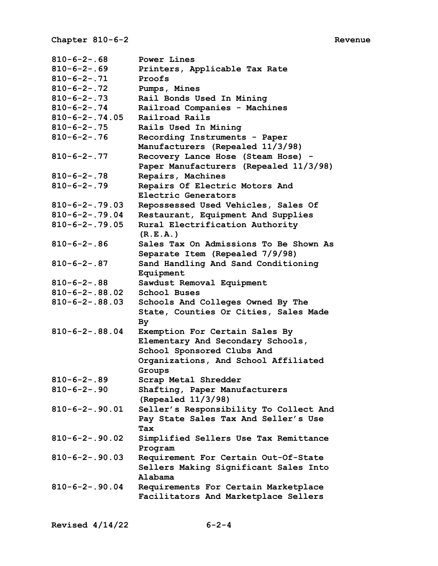| $810 - 6 - 2 - .68$    | Power Lines                                                                  |
|------------------------|------------------------------------------------------------------------------|
| $810 - 6 - 2 - .69$    | Printers, Applicable Tax Rate                                                |
| $810 - 6 - 2 - .71$    | Proofs                                                                       |
| $810 - 6 - 2 - .72$    | Pumps, Mines                                                                 |
| $810 - 6 - 2 - .73$    | Rail Bonds Used In Mining                                                    |
| $810 - 6 - 2 - .74$    | Railroad Companies - Machines                                                |
| $810 - 6 - 2 - .74.05$ | Railroad Rails                                                               |
| $810 - 6 - 2 - .75$    | Rails Used In Mining                                                         |
| $810 - 6 - 2 - .76$    | Recording Instruments - Paper                                                |
|                        | Manufacturers (Repealed 11/3/98)                                             |
|                        |                                                                              |
| $810 - 6 - 2 - .77$    | Recovery Lance Hose (Steam Hose) -                                           |
|                        | Paper Manufacturers (Repealed 11/3/98)                                       |
| $810 - 6 - 2 - .78$    | Repairs, Machines                                                            |
| $810 - 6 - 2 - .79$    | Repairs Of Electric Motors And                                               |
|                        | Electric Generators                                                          |
| $810 - 6 - 2 - .79.03$ | Repossessed Used Vehicles, Sales Of                                          |
| $810 - 6 - 2 - .79.04$ | Restaurant, Equipment And Supplies                                           |
| $810 - 6 - 2 - .79.05$ | Rural Electrification Authority                                              |
|                        | (R.E.A.)                                                                     |
| $810 - 6 - 2 - .86$    | Sales Tax On Admissions To Be Shown As                                       |
|                        | Separate Item (Repealed 7/9/98)                                              |
| $810 - 6 - 2 - .87$    | Sand Handling And Sand Conditioning                                          |
|                        | Equipment                                                                    |
|                        |                                                                              |
|                        |                                                                              |
| $810 - 6 - 2 - .88$    | Sawdust Removal Equipment                                                    |
| $810 - 6 - 2 - .88.02$ | School Buses                                                                 |
| $810 - 6 - 2 - .88.03$ | Schools And Colleges Owned By The                                            |
|                        | State, Counties Or Cities, Sales Made                                        |
|                        | By                                                                           |
| $810 - 6 - 2 - .88.04$ | Exemption For Certain Sales By                                               |
|                        | Elementary And Secondary Schools,                                            |
|                        | School Sponsored Clubs And                                                   |
|                        | Organizations, And School Affiliated                                         |
|                        | Groups                                                                       |
| $810 - 6 - 2 - .89$    | Scrap Metal Shredder                                                         |
| $810 - 6 - 2 - .90$    | Shafting, Paper Manufacturers                                                |
|                        |                                                                              |
| $810 - 6 - 2 - .90.01$ | (Repealed $11/3/98$ )                                                        |
|                        | Seller's Responsibility To Collect And                                       |
|                        | Pay State Sales Tax And Seller's Use                                         |
|                        | <b>Tax</b>                                                                   |
| $810 - 6 - 2 - .90.02$ | Simplified Sellers Use Tax Remittance                                        |
|                        | Program                                                                      |
| $810 - 6 - 2 - .90.03$ | Requirement For Certain Out-Of-State                                         |
|                        | Sellers Making Significant Sales Into                                        |
|                        | Alabama                                                                      |
| $810 - 6 - 2 - .90.04$ | Requirements For Certain Marketplace<br>Facilitators And Marketplace Sellers |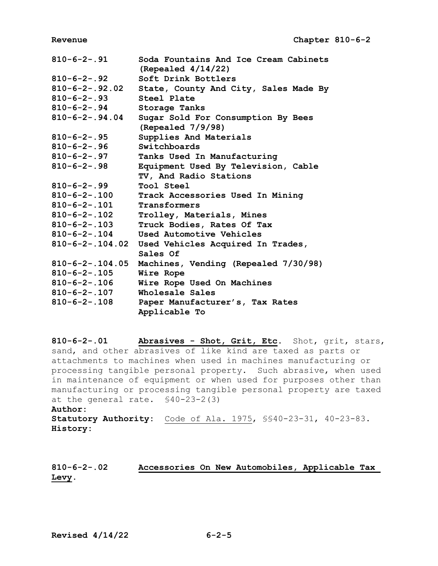| $810 - 6 - 2 - .91$      | Soda Fountains And Ice Cream Cabinets<br>(Repealed $4/14/22$ ) |
|--------------------------|----------------------------------------------------------------|
|                          |                                                                |
| $810 - 6 - 2 - .92$      | Soft Drink Bottlers                                            |
| $810 - 6 - 2 - .92.02$   | State, County And City, Sales Made By                          |
| $810 - 6 - 2 - .93$      | Steel Plate                                                    |
| $810 - 6 - 2 - .94$      | Storage Tanks                                                  |
| $810 - 6 - 2 - .94.04$   | Sugar Sold For Consumption By Bees<br>(Repealed 7/9/98)        |
| $810 - 6 - 2 - .95$      | Supplies And Materials                                         |
| $810 - 6 - 2 - .96$      | Switchboards                                                   |
| $810 - 6 - 2 - .97$      | Tanks Used In Manufacturing                                    |
| $810 - 6 - 2 - .98$      | Equipment Used By Television, Cable                            |
|                          | TV, And Radio Stations                                         |
| $810 - 6 - 2 - .99$      | Tool Steel                                                     |
| $810 - 6 - 2 - 0.100$    | Track Accessories Used In Mining                               |
| $810 - 6 - 2 - 101$      | Transformers                                                   |
| $810 - 6 - 2 - 0.102$    | Trolley, Materials, Mines                                      |
| $810 - 6 - 2 - 103$      | Truck Bodies, Rates Of Tax                                     |
| $810 - 6 - 2 - .104$     | Used Automotive Vehicles                                       |
|                          | 810-6-2-.104.02 Used Vehicles Acquired In Trades,              |
|                          | Sales Of                                                       |
| $810 - 6 - 2 - 0.104.05$ | Machines, Vending (Repealed 7/30/98)                           |
| $810 - 6 - 2 - .105$     | Wire Rope                                                      |
| $810 - 6 - 2 - 0.106$    | Wire Rope Used On Machines                                     |
| $810 - 6 - 2 - .107$     | Wholesale Sales                                                |
| $810 - 6 - 2 - 108$      | Paper Manufacturer's, Tax Rates                                |
|                          | Applicable To                                                  |

**810-6-2-.01 Abrasives - Shot, Grit, Etc.** Shot, grit, stars, sand, and other abrasives of like kind are taxed as parts or attachments to machines when used in machines manufacturing or processing tangible personal property. Such abrasive, when used in maintenance of equipment or when used for purposes other than manufacturing or processing tangible personal property are taxed at the general rate. §40-23-2(3) **Author: Statutory Authority:** Code of Ala. 1975, §§40-23-31, 40-23-83. **History:**

**810-6-2-.02 Accessories On New Automobiles, Applicable Tax Levy.**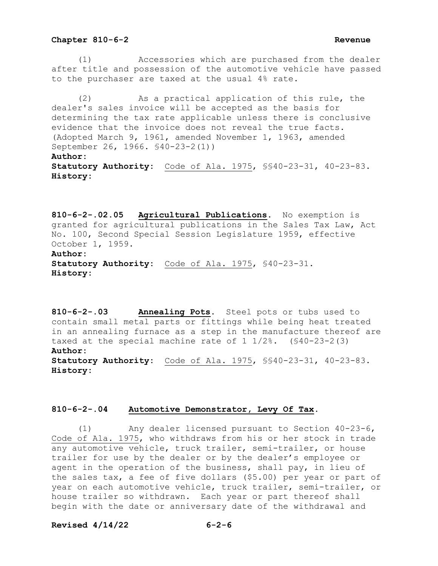(1) Accessories which are purchased from the dealer after title and possession of the automotive vehicle have passed to the purchaser are taxed at the usual 4% rate.

 (2) As a practical application of this rule, the dealer's sales invoice will be accepted as the basis for determining the tax rate applicable unless there is conclusive evidence that the invoice does not reveal the true facts. (Adopted March 9, 1961, amended November 1, 1963, amended September 26, 1966. §40-23-2(1)) **Author: Statutory Authority:** Code of Ala. 1975, §§40-23-31, 40-23-83. **History:**

**810-6-2-.02.05 Agricultural Publications.** No exemption is granted for agricultural publications in the Sales Tax Law, Act No. 100, Second Special Session Legislature 1959, effective October 1, 1959. **Author: Statutory Authority:** Code of Ala. 1975, §40-23-31. **History:**

**810-6-2-.03 Annealing Pots.** Steel pots or tubs used to contain small metal parts or fittings while being heat treated in an annealing furnace as a step in the manufacture thereof are taxed at the special machine rate of  $1 \frac{1}{2}\%$ . (\$40-23-2(3) **Author: Statutory Authority:** Code of Ala. 1975, §§40-23-31, 40-23-83. **History:**

# **810-6-2-.04 Automotive Demonstrator, Levy Of Tax.**

 (1) Any dealer licensed pursuant to Section 40-23-6, Code of Ala. 1975, who withdraws from his or her stock in trade any automotive vehicle, truck trailer, semi-trailer, or house trailer for use by the dealer or by the dealer's employee or agent in the operation of the business, shall pay, in lieu of the sales tax, a fee of five dollars (\$5.00) per year or part of year on each automotive vehicle, truck trailer, semi-trailer, or house trailer so withdrawn. Each year or part thereof shall begin with the date or anniversary date of the withdrawal and

### **Revised 4/14/22 6-2-6**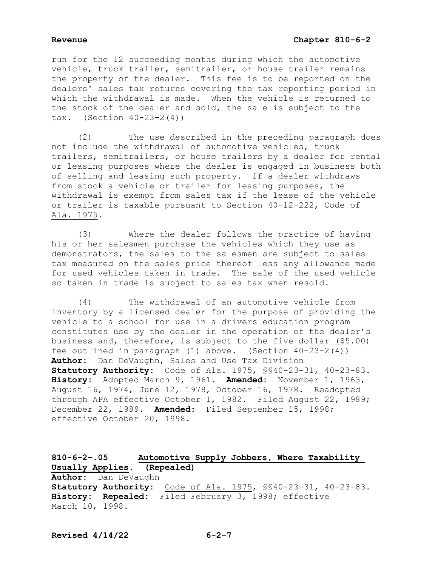run for the 12 succeeding months during which the automotive vehicle, truck trailer, semitrailer, or house trailer remains the property of the dealer. This fee is to be reported on the dealers' sales tax returns covering the tax reporting period in which the withdrawal is made. When the vehicle is returned to the stock of the dealer and sold, the sale is subject to the  $\text{tax.}$  (Section 40-23-2(4))

 (2) The use described in the preceding paragraph does not include the withdrawal of automotive vehicles, truck trailers, semitrailers, or house trailers by a dealer for rental or leasing purposes where the dealer is engaged in business both of selling and leasing such property. If a dealer withdraws from stock a vehicle or trailer for leasing purposes, the withdrawal is exempt from sales tax if the lease of the vehicle or trailer is taxable pursuant to Section 40-12-222, Code of Ala. 1975.

 (3) Where the dealer follows the practice of having his or her salesmen purchase the vehicles which they use as demonstrators, the sales to the salesmen are subject to sales tax measured on the sales price thereof less any allowance made for used vehicles taken in trade. The sale of the used vehicle so taken in trade is subject to sales tax when resold.

 (4) The withdrawal of an automotive vehicle from inventory by a licensed dealer for the purpose of providing the vehicle to a school for use in a drivers education program constitutes use by the dealer in the operation of the dealer's business and, therefore, is subject to the five dollar (\$5.00) fee outlined in paragraph (1) above. (Section 40-23-2(4)) **Author:** Dan DeVaughn, Sales and Use Tax Division **Statutory Authority:** Code of Ala. 1975, §§40-23-31, 40-23-83. **History:** Adopted March 9, 1961. **Amended:** November 1, 1963, August 16, 1974, June 12, 1978, October 16, 1978. Readopted through APA effective October 1, 1982. Filed August 22, 1989; December 22, 1989. **Amended:** Filed September 15, 1998; effective October 20, 1998.

**810-6-2-.05 Automotive Supply Jobbers, Where Taxability Usually Applies. (Repealed) Author:** Dan DeVaughn **Statutory Authority:** Code of Ala. 1975, §§40-23-31, 40-23-83. **History: Repealed:** Filed February 3, 1998; effective March 10, 1998.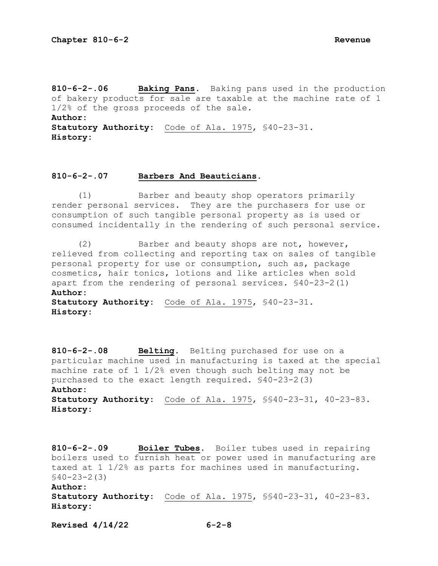**810-6-2-.06 Baking Pans.** Baking pans used in the production of bakery products for sale are taxable at the machine rate of 1 1/2% of the gross proceeds of the sale. **Author: Statutory Authority:** Code of Ala. 1975, §40-23-31. **History:**

# **810-6-2-.07 Barbers And Beauticians.**

 (1) Barber and beauty shop operators primarily render personal services. They are the purchasers for use or consumption of such tangible personal property as is used or consumed incidentally in the rendering of such personal service.

 (2) Barber and beauty shops are not, however, relieved from collecting and reporting tax on sales of tangible personal property for use or consumption, such as, package cosmetics, hair tonics, lotions and like articles when sold apart from the rendering of personal services. §40-23-2(1) **Author: Statutory Authority:** Code of Ala. 1975, §40-23-31.

**History:**

**810-6-2-.08 Belting.** Belting purchased for use on a particular machine used in manufacturing is taxed at the special machine rate of 1 1/2% even though such belting may not be purchased to the exact length required. §40-23-2(3) **Author: Statutory Authority:** Code of Ala. 1975, §§40-23-31, 40-23-83. **History:**

**810-6-2-.09 Boiler Tubes.** Boiler tubes used in repairing boilers used to furnish heat or power used in manufacturing are taxed at 1 1/2% as parts for machines used in manufacturing. §40-23-2(3) **Author: Statutory Authority:** Code of Ala. 1975, §§40-23-31, 40-23-83.

**Revised 4/14/22 6-2-8**

**History:**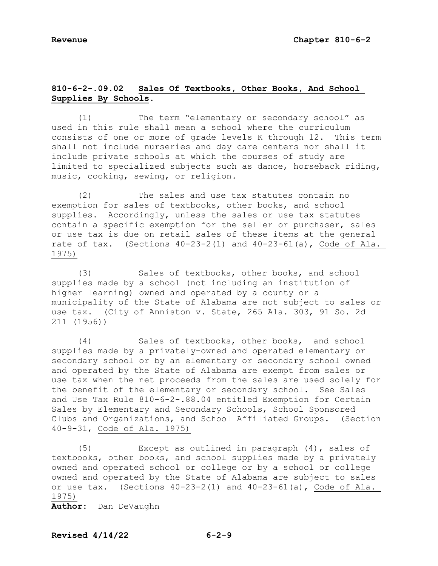# **810-6-2-.09.02 Sales Of Textbooks, Other Books, And School Supplies By Schools.**

 (1) The term "elementary or secondary school" as used in this rule shall mean a school where the curriculum consists of one or more of grade levels K through 12. This term shall not include nurseries and day care centers nor shall it include private schools at which the courses of study are limited to specialized subjects such as dance, horseback riding, music, cooking, sewing, or religion.

 (2) The sales and use tax statutes contain no exemption for sales of textbooks, other books, and school supplies. Accordingly, unless the sales or use tax statutes contain a specific exemption for the seller or purchaser, sales or use tax is due on retail sales of these items at the general rate of tax. (Sections 40-23-2(1) and 40-23-61(a), Code of Ala. 1975)

 (3) Sales of textbooks, other books, and school supplies made by a school (not including an institution of higher learning) owned and operated by a county or a municipality of the State of Alabama are not subject to sales or use tax. (City of Anniston v. State, 265 Ala. 303, 91 So. 2d 211 (1956))

 (4) Sales of textbooks, other books, and school supplies made by a privately-owned and operated elementary or secondary school or by an elementary or secondary school owned and operated by the State of Alabama are exempt from sales or use tax when the net proceeds from the sales are used solely for the benefit of the elementary or secondary school. See Sales and Use Tax Rule 810-6-2-.88.04 entitled Exemption for Certain Sales by Elementary and Secondary Schools, School Sponsored Clubs and Organizations, and School Affiliated Groups. (Section 40-9-31, Code of Ala. 1975)

 (5) Except as outlined in paragraph (4), sales of textbooks, other books, and school supplies made by a privately owned and operated school or college or by a school or college owned and operated by the State of Alabama are subject to sales or use tax. (Sections 40-23-2(1) and 40-23-61(a), Code of Ala. 1975)

**Author:** Dan DeVaughn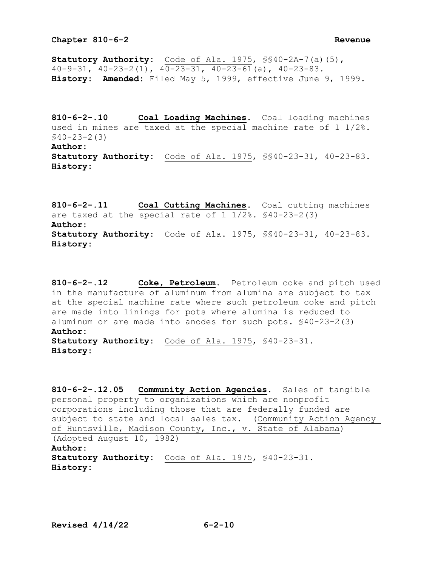**Statutory Authority:** Code of Ala. 1975, §§40-2A-7(a)(5), 40-9-31, 40-23-2(1), 40-23-31, 40-23-61(a), 40-23-83. **History: Amended:** Filed May 5, 1999, effective June 9, 1999.

**810-6-2-.10 Coal Loading Machines.** Coal loading machines used in mines are taxed at the special machine rate of 1 1/2%. §40-23-2(3) **Author: Statutory Authority:** Code of Ala. 1975, §§40-23-31, 40-23-83. **History:**

**810-6-2-.11 Coal Cutting Machines.** Coal cutting machines are taxed at the special rate of 1 1/2%. §40-23-2(3) **Author: Statutory Authority:** Code of Ala. 1975, §§40-23-31, 40-23-83. **History:**

**810-6-2-.12 Coke, Petroleum.** Petroleum coke and pitch used in the manufacture of aluminum from alumina are subject to tax at the special machine rate where such petroleum coke and pitch are made into linings for pots where alumina is reduced to aluminum or are made into anodes for such pots. §40-23-2(3) **Author: Statutory Authority:** Code of Ala. 1975, §40-23-31. **History:**

```
810-6-2-.12.05 Community Action Agencies. Sales of tangible 
personal property to organizations which are nonprofit 
corporations including those that are federally funded are 
subject to state and local sales tax. (Community Action Agency
of Huntsville, Madison County, Inc., v. State of Alabama) 
(Adopted August 10, 1982) 
Author:
Statutory Authority: Code of Ala. 1975, §40-23-31. 
History:
```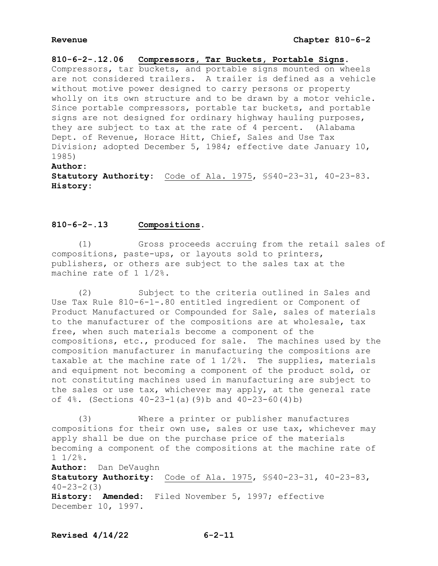**810-6-2-.12.06 Compressors, Tar Buckets, Portable Signs.** Compressors, tar buckets, and portable signs mounted on wheels are not considered trailers. A trailer is defined as a vehicle without motive power designed to carry persons or property wholly on its own structure and to be drawn by a motor vehicle. Since portable compressors, portable tar buckets, and portable signs are not designed for ordinary highway hauling purposes, they are subject to tax at the rate of 4 percent. (Alabama Dept. of Revenue, Horace Hitt, Chief, Sales and Use Tax Division; adopted December 5, 1984; effective date January 10, 1985)

**Author: Statutory Authority:** Code of Ala. 1975, §§40-23-31, 40-23-83. **History:**

# **810-6-2-.13 Compositions.**

 (1) Gross proceeds accruing from the retail sales of compositions, paste-ups, or layouts sold to printers, publishers, or others are subject to the sales tax at the machine rate of 1 1/2%.

 (2) Subject to the criteria outlined in Sales and Use Tax Rule 810-6-1-.80 entitled ingredient or Component of Product Manufactured or Compounded for Sale, sales of materials to the manufacturer of the compositions are at wholesale, tax free, when such materials become a component of the compositions, etc., produced for sale. The machines used by the composition manufacturer in manufacturing the compositions are taxable at the machine rate of 1 1/2%. The supplies, materials and equipment not becoming a component of the product sold, or not constituting machines used in manufacturing are subject to the sales or use tax, whichever may apply, at the general rate of 4%. (Sections 40-23-1(a)(9)b and 40-23-60(4)b)

 (3) Where a printer or publisher manufactures compositions for their own use, sales or use tax, whichever may apply shall be due on the purchase price of the materials becoming a component of the compositions at the machine rate of 1 1/2%.

**Author:** Dan DeVaughn **Statutory Authority:** Code of Ala. 1975, §§40-23-31, 40-23-83,  $40 - 23 - 2(3)$ **History: Amended:** Filed November 5, 1997; effective December 10, 1997.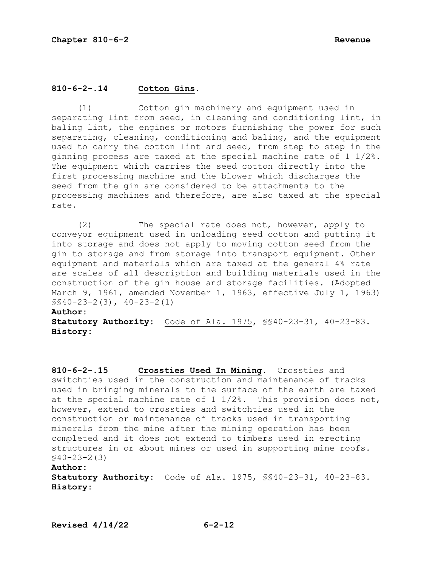# **810-6-2-.14 Cotton Gins.**

 (1) Cotton gin machinery and equipment used in separating lint from seed, in cleaning and conditioning lint, in baling lint, the engines or motors furnishing the power for such separating, cleaning, conditioning and baling, and the equipment used to carry the cotton lint and seed, from step to step in the ginning process are taxed at the special machine rate of 1 1/2%. The equipment which carries the seed cotton directly into the first processing machine and the blower which discharges the seed from the gin are considered to be attachments to the processing machines and therefore, are also taxed at the special rate.

 (2) The special rate does not, however, apply to conveyor equipment used in unloading seed cotton and putting it into storage and does not apply to moving cotton seed from the gin to storage and from storage into transport equipment. Other equipment and materials which are taxed at the general 4% rate are scales of all description and building materials used in the construction of the gin house and storage facilities. (Adopted March 9, 1961, amended November 1, 1963, effective July 1, 1963) §§40-23-2(3), 40-23-2(1)

# **Author:**

**Statutory Authority:** Code of Ala. 1975, §§40-23-31, 40-23-83. **History:**

**810-6-2-.15 Crossties Used In Mining.** Crossties and switchties used in the construction and maintenance of tracks used in bringing minerals to the surface of the earth are taxed at the special machine rate of 1 1/2%. This provision does not, however, extend to crossties and switchties used in the construction or maintenance of tracks used in transporting minerals from the mine after the mining operation has been completed and it does not extend to timbers used in erecting structures in or about mines or used in supporting mine roofs. §40-23-2(3)

# **Author:**

**Statutory Authority:** Code of Ala. 1975, §§40-23-31, 40-23-83. **History:**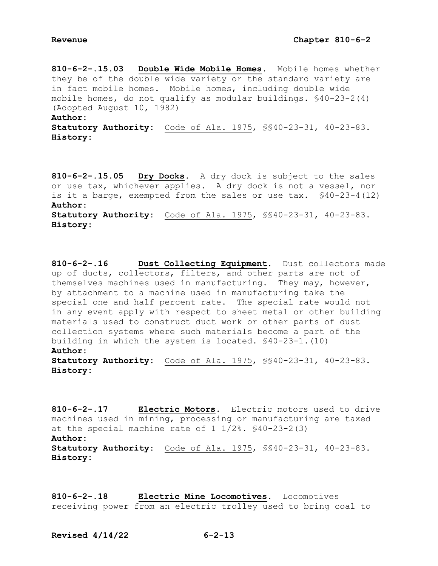**810-6-2-.15.03 Double Wide Mobile Homes.** Mobile homes whether they be of the double wide variety or the standard variety are in fact mobile homes. Mobile homes, including double wide mobile homes, do not qualify as modular buildings. §40-23-2(4) (Adopted August 10, 1982) **Author:**

**Statutory Authority:** Code of Ala. 1975, §§40-23-31, 40-23-83. **History:**

**810-6-2-.15.05 Dry Docks.** A dry dock is subject to the sales or use tax, whichever applies. A dry dock is not a vessel, nor is it a barge, exempted from the sales or use tax. §40-23-4(12) **Author: Statutory Authority:** Code of Ala. 1975, §§40-23-31, 40-23-83. **History:**

**810-6-2-.16 Dust Collecting Equipment.** Dust collectors made up of ducts, collectors, filters, and other parts are not of themselves machines used in manufacturing. They may, however, by attachment to a machine used in manufacturing take the special one and half percent rate. The special rate would not in any event apply with respect to sheet metal or other building materials used to construct duct work or other parts of dust collection systems where such materials become a part of the building in which the system is located. §40-23-1.(10) **Author:**

**Statutory Authority:** Code of Ala. 1975, §§40-23-31, 40-23-83. **History:**

**810-6-2-.17 Electric Motors.** Electric motors used to drive machines used in mining, processing or manufacturing are taxed at the special machine rate of  $1 \frac{1}{2\%}$ .  $\frac{1}{90}$ -23-2(3) **Author: Statutory Authority:** Code of Ala. 1975, §§40-23-31, 40-23-83. **History:**

**810-6-2-.18 Electric Mine Locomotives.** Locomotives receiving power from an electric trolley used to bring coal to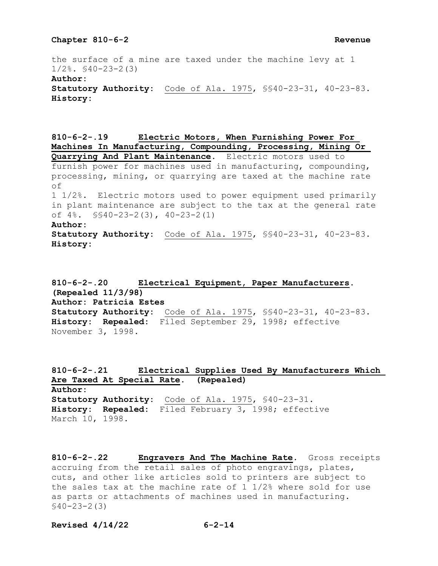the surface of a mine are taxed under the machine levy at 1  $1/2$ %.  $$40-23-2(3)$ **Author: Statutory Authority:** Code of Ala. 1975, §§40-23-31, 40-23-83. **History:**

**810-6-2-.19 Electric Motors, When Furnishing Power For Machines In Manufacturing, Compounding, Processing, Mining Or Quarrying And Plant Maintenance.** Electric motors used to furnish power for machines used in manufacturing, compounding, processing, mining, or quarrying are taxed at the machine rate of 1 1/2%. Electric motors used to power equipment used primarily in plant maintenance are subject to the tax at the general rate of 4%. §§40-23-2(3), 40-23-2(1) **Author: Statutory Authority:** Code of Ala. 1975, §§40-23-31, 40-23-83. **History:**

**810-6-2-.20 Electrical Equipment, Paper Manufacturers. (Repealed 11/3/98) Author: Patricia Estes Statutory Authority:** Code of Ala. 1975, §§40-23-31, 40-23-83. **History: Repealed:** Filed September 29, 1998; effective November 3, 1998.

**810-6-2-.21 Electrical Supplies Used By Manufacturers Which Are Taxed At Special Rate. (Repealed) Author: Statutory Authority:** Code of Ala. 1975, §40-23-31. **History: Repealed:** Filed February 3, 1998; effective March 10, 1998.

**810-6-2-.22 Engravers And The Machine Rate.** Gross receipts accruing from the retail sales of photo engravings, plates, cuts, and other like articles sold to printers are subject to the sales tax at the machine rate of 1 1/2% where sold for use as parts or attachments of machines used in manufacturing. §40-23-2(3)

**Revised 4/14/22 6-2-14**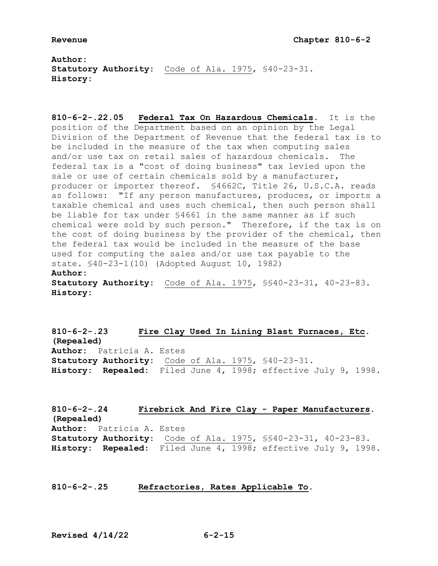**Author: Statutory Authority:** Code of Ala. 1975, §40-23-31. **History:**

**810-6-2-.22.05 Federal Tax On Hazardous Chemicals.** It is the position of the Department based on an opinion by the Legal Division of the Department of Revenue that the federal tax is to be included in the measure of the tax when computing sales and/or use tax on retail sales of hazardous chemicals. The federal tax is a "cost of doing business" tax levied upon the sale or use of certain chemicals sold by a manufacturer, producer or importer thereof. §4662C, Title 26, U.S.C.A. reads as follows: "If any person manufactures, produces, or imports a taxable chemical and uses such chemical, then such person shall be liable for tax under §4661 in the same manner as if such chemical were sold by such person." Therefore, if the tax is on the cost of doing business by the provider of the chemical, then the federal tax would be included in the measure of the base used for computing the sales and/or use tax payable to the state. §40-23-1(10) (Adopted August 10, 1982) **Author: Statutory Authority:** Code of Ala. 1975, §§40-23-31, 40-23-83. **History:**

**810-6-2-.23 Fire Clay Used In Lining Blast Furnaces, Etc. (Repealed) Author:** Patricia A. Estes **Statutory Authority:** Code of Ala. 1975, §40-23-31. **History: Repealed:** Filed June 4, 1998; effective July 9, 1998.

**810-6-2-.24 Firebrick And Fire Clay - Paper Manufacturers. (Repealed) Author:** Patricia A. Estes **Statutory Authority:** Code of Ala. 1975, §§40-23-31, 40-23-83. **History: Repealed:** Filed June 4, 1998; effective July 9, 1998.

# **810-6-2-.25 Refractories, Rates Applicable To.**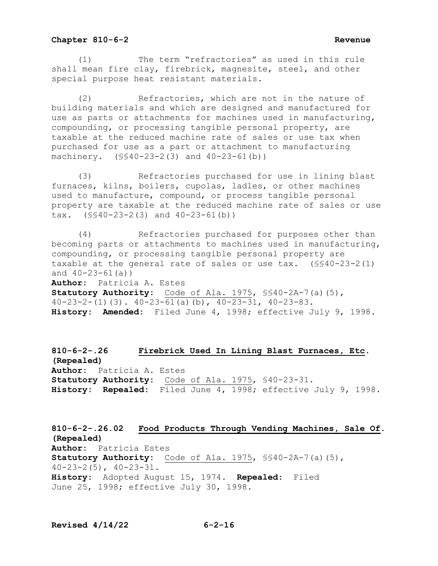(1) The term "refractories" as used in this rule shall mean fire clay, firebrick, magnesite, steel, and other special purpose heat resistant materials.

 (2) Refractories, which are not in the nature of building materials and which are designed and manufactured for use as parts or attachments for machines used in manufacturing, compounding, or processing tangible personal property, are taxable at the reduced machine rate of sales or use tax when purchased for use as a part or attachment to manufacturing machinery. (§§40-23-2(3) and 40-23-61(b))

 (3) Refractories purchased for use in lining blast furnaces, kilns, boilers, cupolas, ladles, or other machines used to manufacture, compound, or process tangible personal property are taxable at the reduced machine rate of sales or use tax. (§§40-23-2(3) and 40-23-61(b))

 (4) Refractories purchased for purposes other than becoming parts or attachments to machines used in manufacturing, compounding, or processing tangible personal property are taxable at the general rate of sales or use tax. (§§40-23-2(1) and  $40 - 23 - 61$  (a))

**Author:** Patricia A. Estes

**Statutory Authority:** Code of Ala. 1975, §§40-2A-7(a)(5),  $40-23-2-(1)(3)$ .  $40-23-61(a)(b)$ ,  $40-23-31$ ,  $40-23-83$ . **History: Amended:** Filed June 4, 1998; effective July 9, 1998.

**810-6-2-.26 Firebrick Used In Lining Blast Furnaces, Etc. (Repealed) Author:** Patricia A. Estes **Statutory Authority:** Code of Ala. 1975, §40-23-31. **History: Repealed:** Filed June 4, 1998; effective July 9, 1998.

**810-6-2-.26.02 Food Products Through Vending Machines, Sale Of. (Repealed) Author:** Patricia Estes **Statutory Authority:** Code of Ala. 1975, §§40-2A-7(a)(5),  $40-23-2(5)$ ,  $40-23-31$ . **History:** Adopted August 15, 1974. **Repealed:** Filed June 25, 1998; effective July 30, 1998.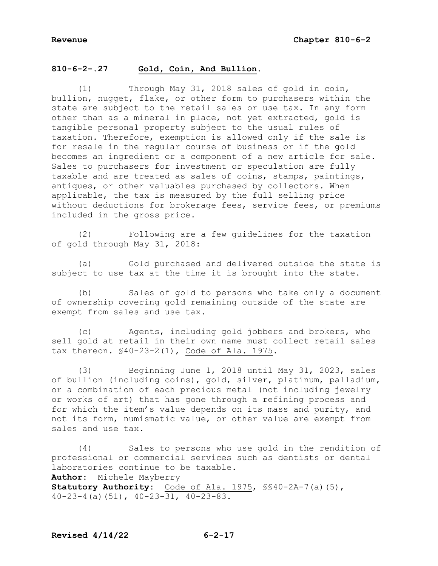# **810-6-2-.27 Gold, Coin, And Bullion.**

Through May 31, 2018 sales of gold in coin, bullion, nugget, flake, or other form to purchasers within the state are subject to the retail sales or use tax. In any form other than as a mineral in place, not yet extracted, gold is tangible personal property subject to the usual rules of taxation. Therefore, exemption is allowed only if the sale is for resale in the regular course of business or if the gold becomes an ingredient or a component of a new article for sale. Sales to purchasers for investment or speculation are fully taxable and are treated as sales of coins, stamps, paintings, antiques, or other valuables purchased by collectors. When applicable, the tax is measured by the full selling price without deductions for brokerage fees, service fees, or premiums included in the gross price.

 (2) Following are a few guidelines for the taxation of gold through May 31, 2018:

 (a) Gold purchased and delivered outside the state is subject to use tax at the time it is brought into the state.

 (b) Sales of gold to persons who take only a document of ownership covering gold remaining outside of the state are exempt from sales and use tax.

 (c) Agents, including gold jobbers and brokers, who sell gold at retail in their own name must collect retail sales tax thereon. §40-23-2(1), Code of Ala. 1975.

 (3) Beginning June 1, 2018 until May 31, 2023, sales of bullion (including coins), gold, silver, platinum, palladium, or a combination of each precious metal (not including jewelry or works of art) that has gone through a refining process and for which the item's value depends on its mass and purity, and not its form, numismatic value, or other value are exempt from sales and use tax.

 (4) Sales to persons who use gold in the rendition of professional or commercial services such as dentists or dental laboratories continue to be taxable. **Author:** Michele Mayberry **Statutory Authority:** Code of Ala. 1975, §§40-2A-7(a)(5),  $40-23-4$  (a)(51),  $40-23-31$ ,  $40-23-83$ .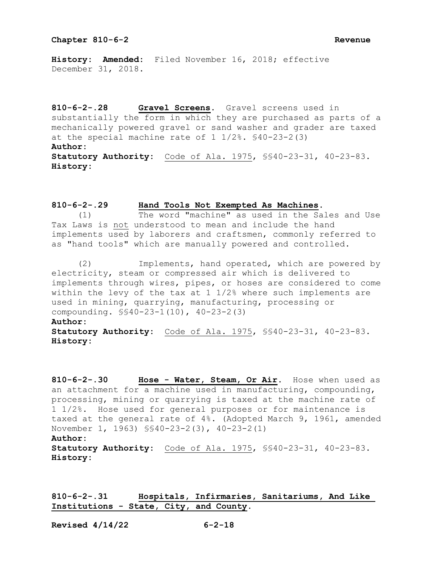**History: Amended:** Filed November 16, 2018; effective December 31, 2018.

**810-6-2-.28 Gravel Screens.** Gravel screens used in substantially the form in which they are purchased as parts of a mechanically powered gravel or sand washer and grader are taxed at the special machine rate of 1 1/2%. §40-23-2(3) **Author: Statutory Authority:** Code of Ala. 1975, §§40-23-31, 40-23-83. **History:**

# **810-6-2-.29 Hand Tools Not Exempted As Machines.**

 (1) The word "machine" as used in the Sales and Use Tax Laws is not understood to mean and include the hand implements used by laborers and craftsmen, commonly referred to as "hand tools" which are manually powered and controlled.

 (2) Implements, hand operated, which are powered by electricity, steam or compressed air which is delivered to implements through wires, pipes, or hoses are considered to come within the levy of the tax at  $1 \frac{1}{2\%}$  where such implements are used in mining, quarrying, manufacturing, processing or compounding. §§40-23-1(10), 40-23-2(3)

# **Author:**

**Statutory Authority:** Code of Ala. 1975, §§40-23-31, 40-23-83. **History:**

**810-6-2-.30 Hose - Water, Steam, Or Air.** Hose when used as an attachment for a machine used in manufacturing, compounding, processing, mining or quarrying is taxed at the machine rate of 1 1/2%. Hose used for general purposes or for maintenance is taxed at the general rate of 4%. (Adopted March 9, 1961, amended November 1, 1963) §§40-23-2(3), 40-23-2(1) **Author: Statutory Authority:** Code of Ala. 1975, §§40-23-31, 40-23-83. **History:**

**810-6-2-.31 Hospitals, Infirmaries, Sanitariums, And Like Institutions - State, City, and County.**

**Revised 4/14/22 6-2-18**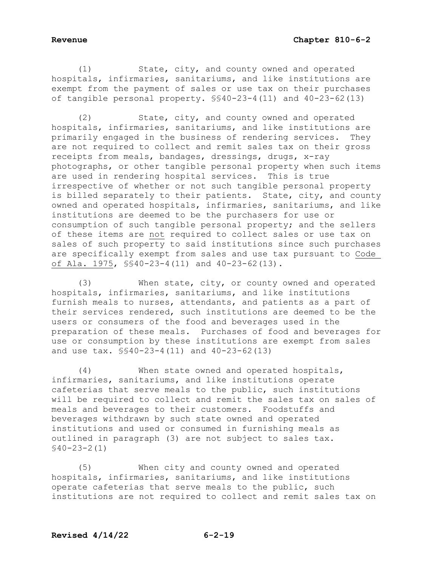(1) State, city, and county owned and operated hospitals, infirmaries, sanitariums, and like institutions are exempt from the payment of sales or use tax on their purchases of tangible personal property. §§40-23-4(11) and 40-23-62(13)

 (2) State, city, and county owned and operated hospitals, infirmaries, sanitariums, and like institutions are primarily engaged in the business of rendering services. They are not required to collect and remit sales tax on their gross receipts from meals, bandages, dressings, drugs, x-ray photographs, or other tangible personal property when such items are used in rendering hospital services. This is true irrespective of whether or not such tangible personal property is billed separately to their patients. State, city, and county owned and operated hospitals, infirmaries, sanitariums, and like institutions are deemed to be the purchasers for use or consumption of such tangible personal property; and the sellers of these items are not required to collect sales or use tax on sales of such property to said institutions since such purchases are specifically exempt from sales and use tax pursuant to Code of Ala. 1975, §§40-23-4(11) and 40-23-62(13).

 (3) When state, city, or county owned and operated hospitals, infirmaries, sanitariums, and like institutions furnish meals to nurses, attendants, and patients as a part of their services rendered, such institutions are deemed to be the users or consumers of the food and beverages used in the preparation of these meals. Purchases of food and beverages for use or consumption by these institutions are exempt from sales and use tax. §§40-23-4(11) and 40-23-62(13)

 (4) When state owned and operated hospitals, infirmaries, sanitariums, and like institutions operate cafeterias that serve meals to the public, such institutions will be required to collect and remit the sales tax on sales of meals and beverages to their customers. Foodstuffs and beverages withdrawn by such state owned and operated institutions and used or consumed in furnishing meals as outlined in paragraph (3) are not subject to sales tax. §40-23-2(1)

 (5) When city and county owned and operated hospitals, infirmaries, sanitariums, and like institutions operate cafeterias that serve meals to the public, such institutions are not required to collect and remit sales tax on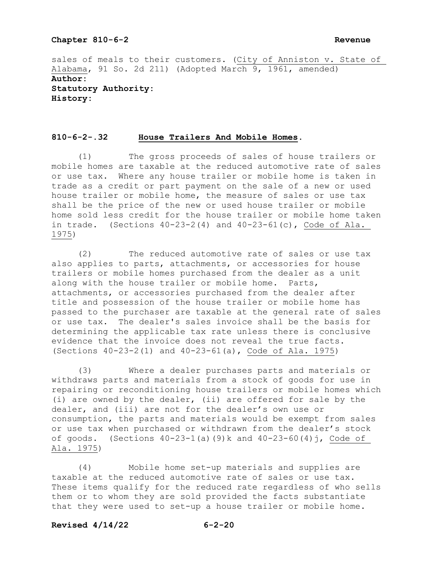sales of meals to their customers. (City of Anniston v. State of Alabama, 91 So. 2d 211) (Adopted March 9, 1961, amended) **Author: Statutory Authority: History:**

## **810-6-2-.32 House Trailers And Mobile Homes.**

 (1) The gross proceeds of sales of house trailers or mobile homes are taxable at the reduced automotive rate of sales or use tax. Where any house trailer or mobile home is taken in trade as a credit or part payment on the sale of a new or used house trailer or mobile home, the measure of sales or use tax shall be the price of the new or used house trailer or mobile home sold less credit for the house trailer or mobile home taken in trade. (Sections  $40-23-2(4)$  and  $40-23-61(c)$ , Code of Ala. 1975)

 (2) The reduced automotive rate of sales or use tax also applies to parts, attachments, or accessories for house trailers or mobile homes purchased from the dealer as a unit along with the house trailer or mobile home. Parts, attachments, or accessories purchased from the dealer after title and possession of the house trailer or mobile home has passed to the purchaser are taxable at the general rate of sales or use tax. The dealer's sales invoice shall be the basis for determining the applicable tax rate unless there is conclusive evidence that the invoice does not reveal the true facts. (Sections 40-23-2(1) and 40-23-61(a), Code of Ala. 1975)

 (3) Where a dealer purchases parts and materials or withdraws parts and materials from a stock of goods for use in repairing or reconditioning house trailers or mobile homes which (i) are owned by the dealer, (ii) are offered for sale by the dealer, and (iii) are not for the dealer's own use or consumption, the parts and materials would be exempt from sales or use tax when purchased or withdrawn from the dealer's stock of goods. (Sections 40-23-1(a)(9)k and 40-23-60(4)j, Code of Ala. 1975)

 (4) Mobile home set-up materials and supplies are taxable at the reduced automotive rate of sales or use tax. These items qualify for the reduced rate regardless of who sells them or to whom they are sold provided the facts substantiate that they were used to set-up a house trailer or mobile home.

### **Revised 4/14/22 6-2-20**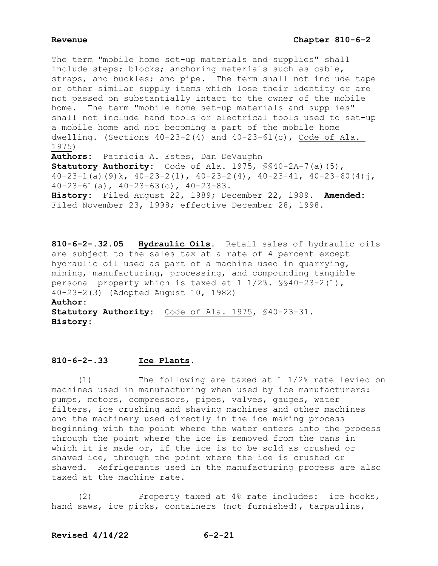The term "mobile home set-up materials and supplies" shall include steps; blocks; anchoring materials such as cable, straps, and buckles; and pipe. The term shall not include tape or other similar supply items which lose their identity or are not passed on substantially intact to the owner of the mobile home. The term "mobile home set-up materials and supplies" shall not include hand tools or electrical tools used to set-up a mobile home and not becoming a part of the mobile home dwelling. (Sections 40-23-2(4) and 40-23-61(c), Code of Ala. 1975) **Authors:** Patricia A. Estes, Dan DeVaughn **Statutory Authority:** Code of Ala. 1975, §§40-2A-7(a)(5),  $40-23-1$  (a)(9)k,  $40-23-2(1)$ ,  $40-23-2(4)$ ,  $40-23-41$ ,  $40-23-60(4)$ j, 40-23-61(a), 40-23-63(c), 40-23-83.

**History:** Filed August 22, 1989; December 22, 1989. **Amended:** Filed November 23, 1998; effective December 28, 1998.

**810-6-2-.32.05 Hydraulic Oils.** Retail sales of hydraulic oils are subject to the sales tax at a rate of 4 percent except hydraulic oil used as part of a machine used in quarrying, mining, manufacturing, processing, and compounding tangible personal property which is taxed at 1 1/2%. §§40-23-2(1), 40-23-2(3) (Adopted August 10, 1982) **Author: Statutory Authority:** Code of Ala. 1975, §40-23-31. **History:**

# **810-6-2-.33 Ice Plants.**

 (1) The following are taxed at 1 1/2% rate levied on machines used in manufacturing when used by ice manufacturers: pumps, motors, compressors, pipes, valves, gauges, water filters, ice crushing and shaving machines and other machines and the machinery used directly in the ice making process beginning with the point where the water enters into the process through the point where the ice is removed from the cans in which it is made or, if the ice is to be sold as crushed or shaved ice, through the point where the ice is crushed or shaved. Refrigerants used in the manufacturing process are also taxed at the machine rate.

 (2) Property taxed at 4% rate includes: ice hooks, hand saws, ice picks, containers (not furnished), tarpaulins,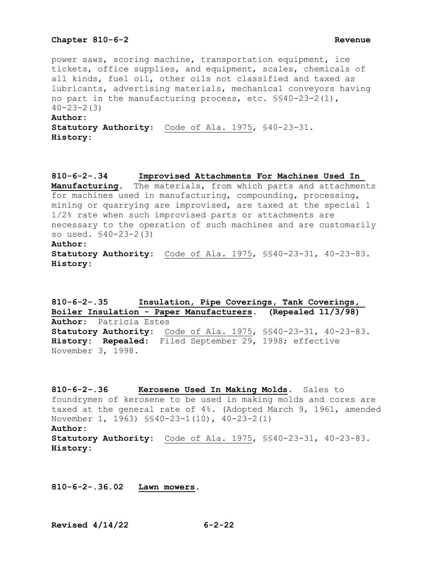power saws, scoring machine, transportation equipment, ice tickets, office supplies, and equipment, scales, chemicals of all kinds, fuel oil, other oils not classified and taxed as lubricants, advertising materials, mechanical conveyors having no part in the manufacturing process, etc. §§40-23-2(1),  $40 - 23 - 2(3)$ **Author: Statutory Authority:** Code of Ala. 1975, §40-23-31. **History:**

**810-6-2-.34 Improvised Attachments For Machines Used In Manufacturing.** The materials, from which parts and attachments for machines used in manufacturing, compounding, processing, mining or quarrying are improvised, are taxed at the special 1 1/2% rate when such improvised parts or attachments are necessary to the operation of such machines and are customarily so used. §40-23-2(3) **Author: Statutory Authority:** Code of Ala. 1975, §§40-23-31, 40-23-83. **History:**

**810-6-2-.35 Insulation, Pipe Coverings, Tank Coverings, Boiler Insulation - Paper Manufacturers. (Repealed 11/3/98) Author:** Patricia Estes **Statutory Authority:** Code of Ala. 1975, §§40-23-31, 40-23-83. **History: Repealed:** Filed September 29, 1998; effective November 3, 1998.

**810-6-2-.36 Kerosene Used In Making Molds.** Sales to foundrymen of kerosene to be used in making molds and cores are taxed at the general rate of 4%. (Adopted March 9, 1961, amended November 1, 1963) §§40-23-1(10), 40-23-2(1) **Author: Statutory Authority:** Code of Ala. 1975, §§40-23-31, 40-23-83. **History:**

**810-6-2-.36.02 Lawn mowers.**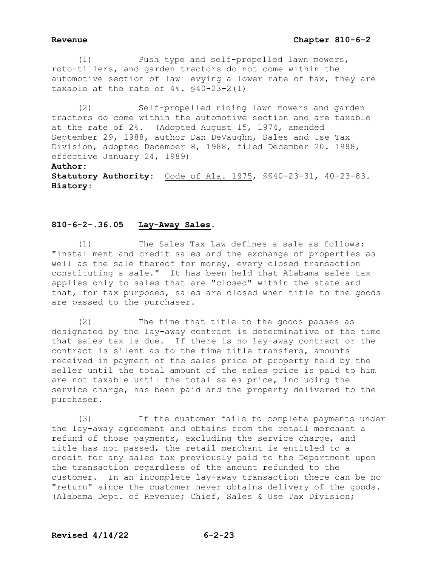# **Revenue Chapter 810-6-2**

 (1) Push type and self-propelled lawn mowers, roto-tillers, and garden tractors do not come within the automotive section of law levying a lower rate of tax, they are taxable at the rate of  $4\%$ .  $$40-23-2(1)$ 

 (2) Self-propelled riding lawn mowers and garden tractors do come within the automotive section and are taxable at the rate of 2%. (Adopted August 15, 1974, amended September 29, 1988, author Dan DeVaughn, Sales and Use Tax Division, adopted December 8, 1988, filed December 20. 1988, effective January 24, 1989) **Author: Statutory Authority:** Code of Ala. 1975, §§40-23-31, 40-23-83. **History:**

# **810-6-2-.36.05 Lay-Away Sales.**

 (1) The Sales Tax Law defines a sale as follows: "installment and credit sales and the exchange of properties as well as the sale thereof for money, every closed transaction constituting a sale." It has been held that Alabama sales tax applies only to sales that are "closed" within the state and that, for tax purposes, sales are closed when title to the goods are passed to the purchaser.

 (2) The time that title to the goods passes as designated by the lay-away contract is determinative of the time that sales tax is due. If there is no lay-away contract or the contract is silent as to the time title transfers, amounts received in payment of the sales price of property held by the seller until the total amount of the sales price is paid to him are not taxable until the total sales price, including the service charge, has been paid and the property delivered to the purchaser.

 (3) If the customer fails to complete payments under the lay-away agreement and obtains from the retail merchant a refund of those payments, excluding the service charge, and title has not passed, the retail merchant is entitled to a credit for any sales tax previously paid to the Department upon the transaction regardless of the amount refunded to the customer. In an incomplete lay-away transaction there can be no "return" since the customer never obtains delivery of the goods. (Alabama Dept. of Revenue; Chief, Sales & Use Tax Division;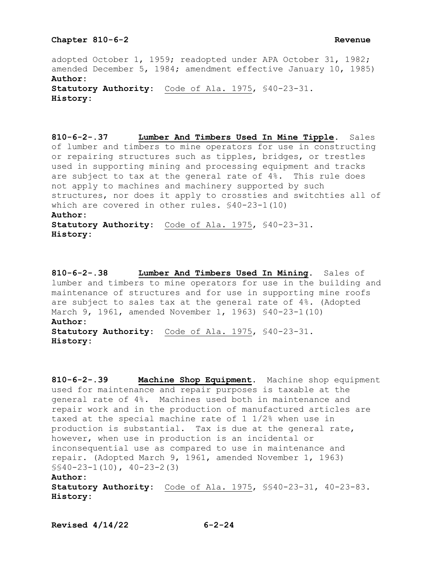adopted October 1, 1959; readopted under APA October 31, 1982; amended December 5, 1984; amendment effective January 10, 1985) **Author: Statutory Authority:** Code of Ala. 1975, §40-23-31. **History:**

**810-6-2-.37 Lumber And Timbers Used In Mine Tipple.** Sales of lumber and timbers to mine operators for use in constructing or repairing structures such as tipples, bridges, or trestles used in supporting mining and processing equipment and tracks are subject to tax at the general rate of 4%. This rule does not apply to machines and machinery supported by such structures, nor does it apply to crossties and switchties all of which are covered in other rules. §40-23-1(10) **Author: Statutory Authority:** Code of Ala. 1975, §40-23-31. **History:**

**810-6-2-.38 Lumber And Timbers Used In Mining.** Sales of lumber and timbers to mine operators for use in the building and maintenance of structures and for use in supporting mine roofs are subject to sales tax at the general rate of 4%. (Adopted March 9, 1961, amended November 1, 1963) §40-23-1(10) **Author: Statutory Authority:** Code of Ala. 1975, §40-23-31. **History:**

**810-6-2-.39 Machine Shop Equipment.** Machine shop equipment used for maintenance and repair purposes is taxable at the general rate of 4%. Machines used both in maintenance and repair work and in the production of manufactured articles are taxed at the special machine rate of 1 1/2% when use in production is substantial. Tax is due at the general rate, however, when use in production is an incidental or inconsequential use as compared to use in maintenance and repair. (Adopted March 9, 1961, amended November 1, 1963) §§40-23-1(10), 40-23-2(3)

### **Author:**

**Statutory Authority:** Code of Ala. 1975, §§40-23-31, 40-23-83. **History:**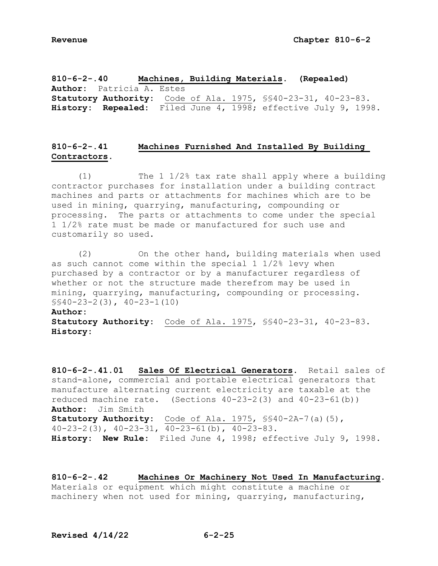**810-6-2-.40 Machines, Building Materials. (Repealed) Author:** Patricia A. Estes **Statutory Authority:** Code of Ala. 1975, §§40-23-31, 40-23-83. **History: Repealed:** Filed June 4, 1998; effective July 9, 1998.

# **810-6-2-.41 Machines Furnished And Installed By Building Contractors.**

 (1) The 1 1/2% tax rate shall apply where a building contractor purchases for installation under a building contract machines and parts or attachments for machines which are to be used in mining, quarrying, manufacturing, compounding or processing. The parts or attachments to come under the special 1 1/2% rate must be made or manufactured for such use and customarily so used.

 (2) On the other hand, building materials when used as such cannot come within the special 1 1/2% levy when purchased by a contractor or by a manufacturer regardless of whether or not the structure made therefrom may be used in mining, quarrying, manufacturing, compounding or processing. §§40-23-2(3), 40-23-1(10)

# **Author:**

**Statutory Authority:** Code of Ala. 1975, §§40-23-31, 40-23-83. **History:**

**810-6-2-.41.01 Sales Of Electrical Generators.** Retail sales of stand-alone, commercial and portable electrical generators that manufacture alternating current electricity are taxable at the reduced machine rate. (Sections  $40-23-2(3)$  and  $40-23-61(b)$ ) **Author:** Jim Smith **Statutory Authority:** Code of Ala. 1975, §§40-2A-7(a)(5), 40-23-2(3), 40-23-31, 40-23-61(b), 40-23-83. **History: New Rule:** Filed June 4, 1998; effective July 9, 1998.

**810-6-2-.42 Machines Or Machinery Not Used In Manufacturing.** Materials or equipment which might constitute a machine or machinery when not used for mining, quarrying, manufacturing,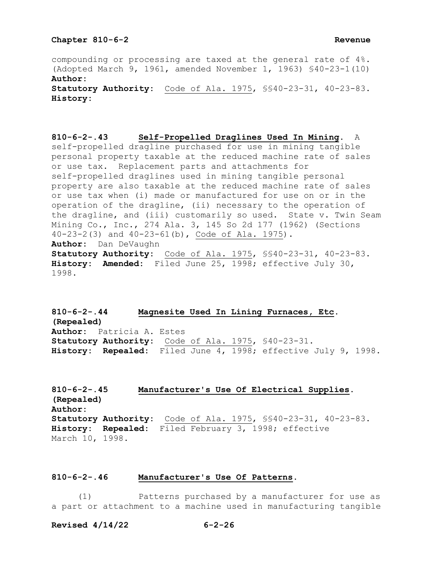compounding or processing are taxed at the general rate of 4%. (Adopted March 9, 1961, amended November 1, 1963) §40-23-1(10) **Author: Statutory Authority:** Code of Ala. 1975, §§40-23-31, 40-23-83. **History:**

**810-6-2-.43 Self-Propelled Draglines Used In Mining.** A self-propelled dragline purchased for use in mining tangible personal property taxable at the reduced machine rate of sales or use tax. Replacement parts and attachments for self-propelled draglines used in mining tangible personal property are also taxable at the reduced machine rate of sales or use tax when (i) made or manufactured for use on or in the operation of the dragline, (ii) necessary to the operation of the dragline, and (iii) customarily so used. State v. Twin Seam Mining Co., Inc., 274 Ala. 3, 145 So 2d 177 (1962) (Sections 40-23-2(3) and 40-23-61(b), Code of Ala. 1975). **Author:** Dan DeVaughn **Statutory Authority:** Code of Ala. 1975, §§40-23-31, 40-23-83. **History: Amended:** Filed June 25, 1998; effective July 30, 1998.

**810-6-2-.44 Magnesite Used In Lining Furnaces, Etc. (Repealed) Author:** Patricia A. Estes **Statutory Authority:** Code of Ala. 1975, §40-23-31. **History: Repealed:** Filed June 4, 1998; effective July 9, 1998.

**810-6-2-.45 Manufacturer's Use Of Electrical Supplies. (Repealed) Author: Statutory Authority:** Code of Ala. 1975, §§40-23-31, 40-23-83. **History: Repealed:** Filed February 3, 1998; effective March 10, 1998.

### **810-6-2-.46 Manufacturer's Use Of Patterns.**

 (1) Patterns purchased by a manufacturer for use as a part or attachment to a machine used in manufacturing tangible

**Revised 4/14/22 6-2-26**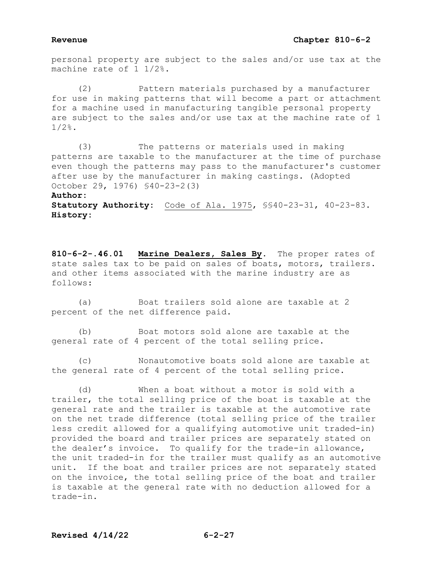personal property are subject to the sales and/or use tax at the machine rate of 1 1/2%.

 (2) Pattern materials purchased by a manufacturer for use in making patterns that will become a part or attachment for a machine used in manufacturing tangible personal property are subject to the sales and/or use tax at the machine rate of 1 1/2%.

 (3) The patterns or materials used in making patterns are taxable to the manufacturer at the time of purchase even though the patterns may pass to the manufacturer's customer after use by the manufacturer in making castings. (Adopted October 29, 1976) §40-23-2(3)

### **Author:**

**Statutory Authority:** Code of Ala. 1975, §§40-23-31, 40-23-83. **History:**

**810-6-2-.46.01 Marine Dealers, Sales By.** The proper rates of state sales tax to be paid on sales of boats, motors, trailers. and other items associated with the marine industry are as follows:

 (a) Boat trailers sold alone are taxable at 2 percent of the net difference paid.

 (b) Boat motors sold alone are taxable at the general rate of 4 percent of the total selling price.

 (c) Nonautomotive boats sold alone are taxable at the general rate of 4 percent of the total selling price.

 (d) When a boat without a motor is sold with a trailer, the total selling price of the boat is taxable at the general rate and the trailer is taxable at the automotive rate on the net trade difference (total selling price of the trailer less credit allowed for a qualifying automotive unit traded-in) provided the board and trailer prices are separately stated on the dealer's invoice. To qualify for the trade-in allowance, the unit traded-in for the trailer must qualify as an automotive unit. If the boat and trailer prices are not separately stated on the invoice, the total selling price of the boat and trailer is taxable at the general rate with no deduction allowed for a trade-in.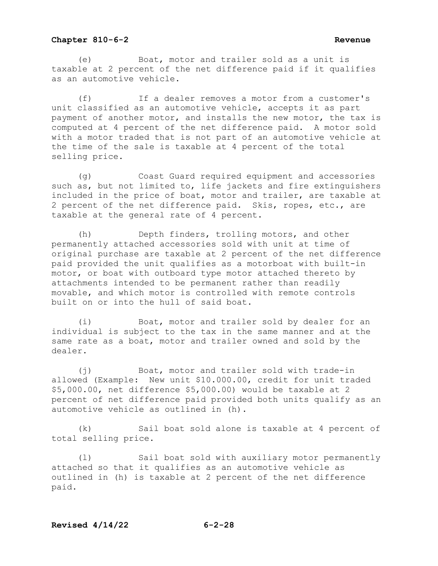(e) Boat, motor and trailer sold as a unit is taxable at 2 percent of the net difference paid if it qualifies as an automotive vehicle.

(f) If a dealer removes a motor from a customer's unit classified as an automotive vehicle, accepts it as part payment of another motor, and installs the new motor, the tax is computed at 4 percent of the net difference paid. A motor sold with a motor traded that is not part of an automotive vehicle at the time of the sale is taxable at 4 percent of the total selling price.

(g) Coast Guard required equipment and accessories such as, but not limited to, life jackets and fire extinguishers included in the price of boat, motor and trailer, are taxable at 2 percent of the net difference paid. Skis, ropes, etc., are taxable at the general rate of 4 percent.

(h) Depth finders, trolling motors, and other permanently attached accessories sold with unit at time of original purchase are taxable at 2 percent of the net difference paid provided the unit qualifies as a motorboat with built-in motor, or boat with outboard type motor attached thereto by attachments intended to be permanent rather than readily movable, and which motor is controlled with remote controls built on or into the hull of said boat.

(i) Boat, motor and trailer sold by dealer for an individual is subject to the tax in the same manner and at the same rate as a boat, motor and trailer owned and sold by the dealer.

(j) Boat, motor and trailer sold with trade-in allowed (Example: New unit \$10.000.00, credit for unit traded \$5,000.00, net difference \$5,000.00) would be taxable at 2 percent of net difference paid provided both units qualify as an automotive vehicle as outlined in (h).

(k) Sail boat sold alone is taxable at 4 percent of total selling price.

(l) Sail boat sold with auxiliary motor permanently attached so that it qualifies as an automotive vehicle as outlined in (h) is taxable at 2 percent of the net difference paid.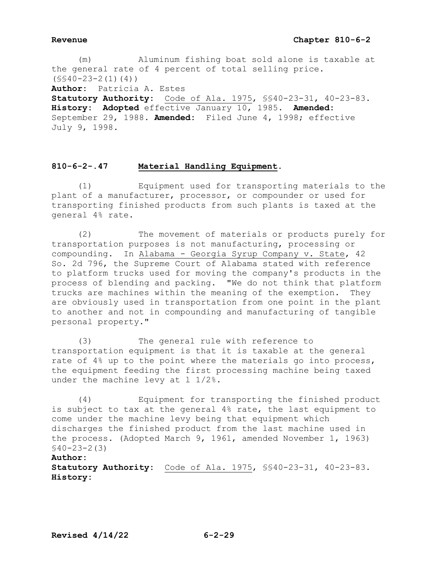(m) Aluminum fishing boat sold alone is taxable at the general rate of 4 percent of total selling price.  $(S$40-23-2(1)(4))$ **Author:** Patricia A. Estes **Statutory Authority:** Code of Ala. 1975, §§40-23-31, 40-23-83. **History: Adopted** effective January 10, 1985. **Amended:** September 29, 1988. **Amended:** Filed June 4, 1998; effective July 9, 1998.

# **810-6-2-.47 Material Handling Equipment.**

 (1) Equipment used for transporting materials to the plant of a manufacturer, processor, or compounder or used for transporting finished products from such plants is taxed at the general 4% rate.

 (2) The movement of materials or products purely for transportation purposes is not manufacturing, processing or compounding. In Alabama - Georgia Syrup Company v. State, 42 So. 2d 796, the Supreme Court of Alabama stated with reference to platform trucks used for moving the company's products in the process of blending and packing. "We do not think that platform trucks are machines within the meaning of the exemption. They are obviously used in transportation from one point in the plant to another and not in compounding and manufacturing of tangible personal property."

 (3) The general rule with reference to transportation equipment is that it is taxable at the general rate of 4% up to the point where the materials go into process, the equipment feeding the first processing machine being taxed under the machine levy at 1 1/2%.

 (4) Equipment for transporting the finished product is subject to tax at the general 4% rate, the last equipment to come under the machine levy being that equipment which discharges the finished product from the last machine used in the process. (Adopted March 9, 1961, amended November 1, 1963) §40-23-2(3)

# **Author:**

**Statutory Authority:** Code of Ala. 1975, §§40-23-31, 40-23-83. **History:**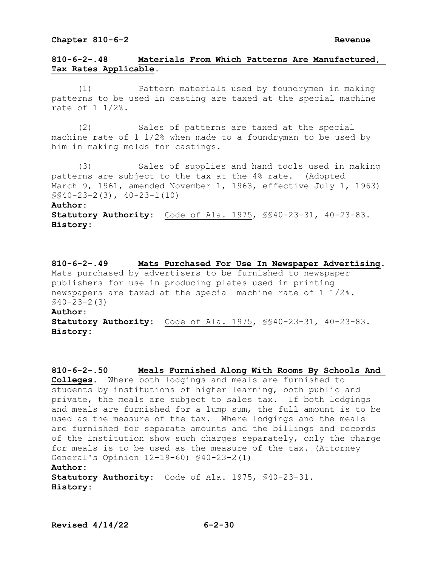# **810-6-2-.48 Materials From Which Patterns Are Manufactured, Tax Rates Applicable.**

 (1) Pattern materials used by foundrymen in making patterns to be used in casting are taxed at the special machine rate of 1 1/2%.

 (2) Sales of patterns are taxed at the special machine rate of 1 1/2% when made to a foundryman to be used by him in making molds for castings.

 (3) Sales of supplies and hand tools used in making patterns are subject to the tax at the 4% rate. (Adopted March 9, 1961, amended November 1, 1963, effective July 1, 1963) §§40-23-2(3), 40-23-1(10)

### **Author:**

**Statutory Authority:** Code of Ala. 1975, \$\$40-23-31, 40-23-83. **History:**

**810-6-2-.49 Mats Purchased For Use In Newspaper Advertising.**  Mats purchased by advertisers to be furnished to newspaper publishers for use in producing plates used in printing newspapers are taxed at the special machine rate of 1 1/2%. §40-23-2(3) **Author: Statutory Authority:** Code of Ala. 1975, §§40-23-31, 40-23-83. **History:** 

```
810-6-2-.50 Meals Furnished Along With Rooms By Schools And 
Colleges. Where both lodgings and meals are furnished to 
students by institutions of higher learning, both public and 
private, the meals are subject to sales tax. If both lodgings 
and meals are furnished for a lump sum, the full amount is to be 
used as the measure of the tax. Where lodgings and the meals 
are furnished for separate amounts and the billings and records 
of the institution show such charges separately, only the charge 
for meals is to be used as the measure of the tax. (Attorney 
General's Opinion 12-19-60) §40-23-2(1) 
Author:
Statutory Authority: Code of Ala. 1975, §40-23-31. 
History:
```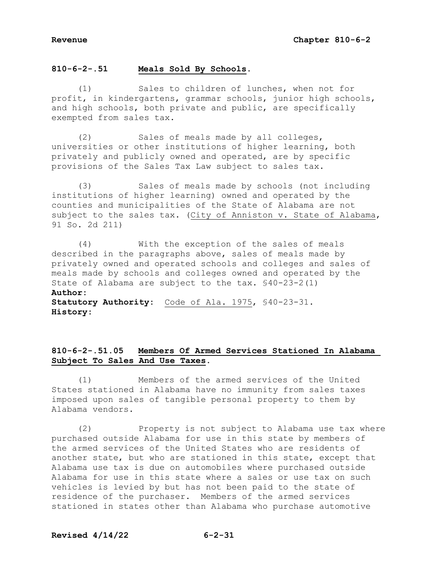**810-6-2-.51 Meals Sold By Schools.**

 (1) Sales to children of lunches, when not for profit, in kindergartens, grammar schools, junior high schools, and high schools, both private and public, are specifically exempted from sales tax.

 (2) Sales of meals made by all colleges, universities or other institutions of higher learning, both privately and publicly owned and operated, are by specific provisions of the Sales Tax Law subject to sales tax.

 (3) Sales of meals made by schools (not including institutions of higher learning) owned and operated by the counties and municipalities of the State of Alabama are not subject to the sales tax. (City of Anniston v. State of Alabama, 91 So. 2d 211)

 (4) With the exception of the sales of meals described in the paragraphs above, sales of meals made by privately owned and operated schools and colleges and sales of meals made by schools and colleges owned and operated by the State of Alabama are subject to the tax. §40-23-2(1) **Author: Statutory Authority:** Code of Ala. 1975, §40-23-31. **History:**

# **810-6-2-.51.05 Members Of Armed Services Stationed In Alabama Subject To Sales And Use Taxes.**

 (1) Members of the armed services of the United States stationed in Alabama have no immunity from sales taxes imposed upon sales of tangible personal property to them by Alabama vendors.

 (2) Property is not subject to Alabama use tax where purchased outside Alabama for use in this state by members of the armed services of the United States who are residents of another state, but who are stationed in this state, except that Alabama use tax is due on automobiles where purchased outside Alabama for use in this state where a sales or use tax on such vehicles is levied by but has not been paid to the state of residence of the purchaser. Members of the armed services stationed in states other than Alabama who purchase automotive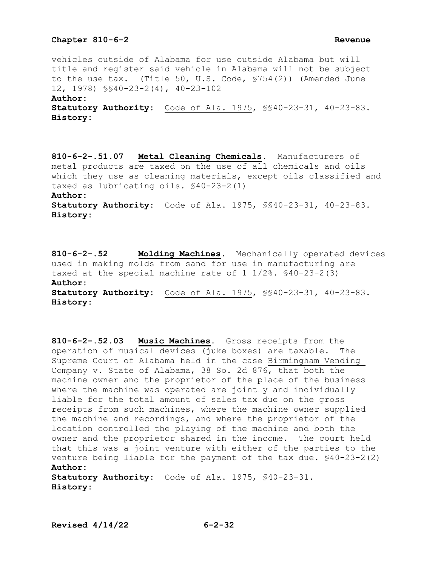vehicles outside of Alabama for use outside Alabama but will title and register said vehicle in Alabama will not be subject to the use tax. (Title 50, U.S. Code, §754(2)) (Amended June 12, 1978) §§40-23-2(4), 40-23-102 **Author: Statutory Authority:** Code of Ala. 1975, §§40-23-31, 40-23-83. **History:**

**810-6-2-.51.07 Metal Cleaning Chemicals.** Manufacturers of metal products are taxed on the use of  $\overline{al}$  chemicals and oils which they use as cleaning materials, except oils classified and taxed as lubricating oils. §40-23-2(1) **Author:**

**Statutory Authority:** Code of Ala. 1975, §§40-23-31, 40-23-83. **History:**

**810-6-2-.52 Molding Machines.** Mechanically operated devices used in making molds from sand for use in manufacturing are taxed at the special machine rate of  $1 \frac{1}{2}\%$ .  $\frac{540-23-2(3)}{3}$ **Author: Statutory Authority:** Code of Ala. 1975, §§40-23-31, 40-23-83.

**History:**

**810-6-2-.52.03 Music Machines.** Gross receipts from the operation of musical devices (juke boxes) are taxable. The Supreme Court of Alabama held in the case Birmingham Vending Company v. State of Alabama, 38 So. 2d 876, that both the machine owner and the proprietor of the place of the business where the machine was operated are jointly and individually liable for the total amount of sales tax due on the gross receipts from such machines, where the machine owner supplied the machine and recordings, and where the proprietor of the location controlled the playing of the machine and both the owner and the proprietor shared in the income. The court held that this was a joint venture with either of the parties to the venture being liable for the payment of the tax due. §40-23-2(2) **Author:**

**Statutory Authority:** Code of Ala. 1975, §40-23-31. **History:**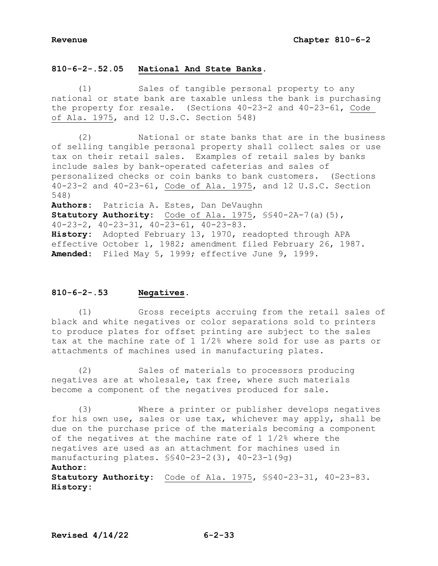# **810-6-2-.52.05 National And State Banks.**

 (1) Sales of tangible personal property to any national or state bank are taxable unless the bank is purchasing the property for resale. (Sections 40-23-2 and 40-23-61, Code of Ala. 1975, and 12 U.S.C. Section 548)

 (2) National or state banks that are in the business of selling tangible personal property shall collect sales or use tax on their retail sales. Examples of retail sales by banks include sales by bank-operated cafeterias and sales of personalized checks or coin banks to bank customers. (Sections 40-23-2 and 40-23-61, Code of Ala. 1975, and 12 U.S.C. Section 548)

**Authors:** Patricia A. Estes, Dan DeVaughn **Statutory Authority:** Code of Ala. 1975, §§40-2A-7(a)(5), 40-23-2, 40-23-31, 40-23-61, 40-23-83. **History:** Adopted February 13, 1970, readopted through APA effective October 1, 1982; amendment filed February 26, 1987. **Amended:** Filed May 5, 1999; effective June 9, 1999.

# **810-6-2-.53 Negatives.**

 (1) Gross receipts accruing from the retail sales of black and white negatives or color separations sold to printers to produce plates for offset printing are subject to the sales tax at the machine rate of 1 1/2% where sold for use as parts or attachments of machines used in manufacturing plates.

 (2) Sales of materials to processors producing negatives are at wholesale, tax free, where such materials become a component of the negatives produced for sale.

 (3) Where a printer or publisher develops negatives for his own use, sales or use tax, whichever may apply, shall be due on the purchase price of the materials becoming a component of the negatives at the machine rate of  $1\ 1/2$ % where the negatives are used as an attachment for machines used in manufacturing plates. §§40-23-2(3), 40-23-1(9g)

# **Author:**

**Statutory Authority:** Code of Ala. 1975, §§40-23-31, 40-23-83. **History:**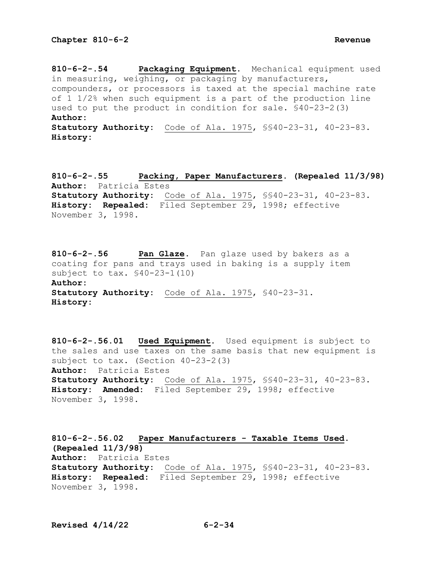**History:**

**810-6-2-.54 Packaging Equipment.** Mechanical equipment used in measuring, weighing, or packaging by manufacturers, compounders, or processors is taxed at the special machine rate of 1 1/2% when such equipment is a part of the production line used to put the product in condition for sale. §40-23-2(3) **Author: Statutory Authority:** Code of Ala. 1975, §§40-23-31, 40-23-83.

**810-6-2-.55 Packing, Paper Manufacturers. (Repealed 11/3/98) Author:** Patricia Estes **Statutory Authority:** Code of Ala. 1975, §§40-23-31, 40-23-83. **History: Repealed:** Filed September 29, 1998; effective November 3, 1998.

**810-6-2-.56 Pan Glaze.** Pan glaze used by bakers as a coating for pans and trays used in baking is a supply item subject to tax. §40-23-1(10) **Author: Statutory Authority:** Code of Ala. 1975, §40-23-31. **History:**

**810-6-2-.56.01 Used Equipment.** Used equipment is subject to the sales and use taxes on the same basis that new equipment is subject to tax. (Section 40-23-2(3) **Author:** Patricia Estes **Statutory Authority:** Code of Ala. 1975, §§40-23-31, 40-23-83. **History: Amended:** Filed September 29, 1998; effective November 3, 1998**.**

**810-6-2-.56.02 Paper Manufacturers - Taxable Items Used. (Repealed 11/3/98) Author:** Patricia Estes **Statutory Authority:** Code of Ala. 1975, §§40-23-31, 40-23-83. **History: Repealed:** Filed September 29, 1998; effective November 3, 1998.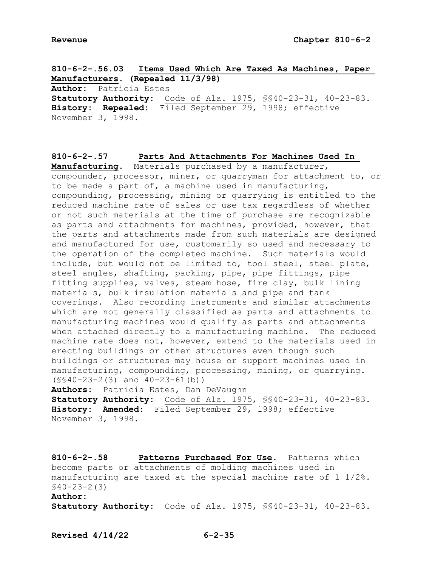**810-6-2-.56.03 Items Used Which Are Taxed As Machines, Paper Manufacturers. (Repealed 11/3/98) Author:** Patricia Estes **Statutory Authority:** Code of Ala. 1975, §§40-23-31, 40-23-83. **History: Repealed:** Filed September 29, 1998; effective November 3, 1998.

**810-6-2-.57 Parts And Attachments For Machines Used In Manufacturing.** Materials purchased by a manufacturer, compounder, processor, miner, or quarryman for attachment to, or to be made a part of, a machine used in manufacturing, compounding, processing, mining or quarrying is entitled to the reduced machine rate of sales or use tax regardless of whether or not such materials at the time of purchase are recognizable as parts and attachments for machines, provided, however, that the parts and attachments made from such materials are designed and manufactured for use, customarily so used and necessary to the operation of the completed machine. Such materials would include, but would not be limited to, tool steel, steel plate, steel angles, shafting, packing, pipe, pipe fittings, pipe fitting supplies, valves, steam hose, fire clay, bulk lining materials, bulk insulation materials and pipe and tank coverings. Also recording instruments and similar attachments which are not generally classified as parts and attachments to manufacturing machines would qualify as parts and attachments when attached directly to a manufacturing machine. The reduced machine rate does not, however, extend to the materials used in erecting buildings or other structures even though such buildings or structures may house or support machines used in manufacturing, compounding, processing, mining, or quarrying. (§§40-23-2(3) and 40-23-61(b))

**Authors:** Patricia Estes, Dan DeVaughn **Statutory Authority:** Code of Ala. 1975, §§40-23-31, 40-23-83. **History: Amended:** Filed September 29, 1998; effective November 3, 1998.

**810-6-2-.58 Patterns Purchased For Use.** Patterns which become parts or attachments of molding machines used in manufacturing are taxed at the special machine rate of 1 1/2%. §40-23-2(3) **Author:**

**Statutory Authority:** Code of Ala. 1975, §§40-23-31, 40-23-83.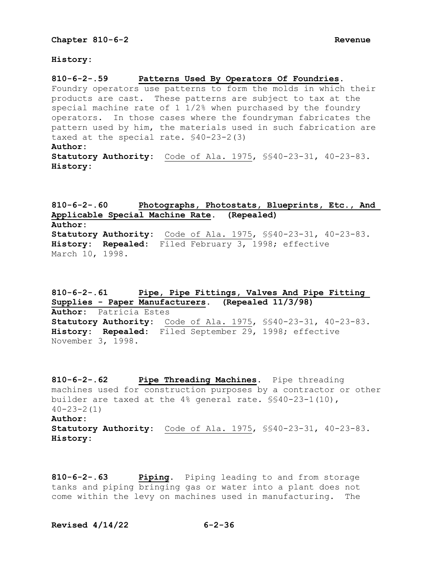**History:**

**810-6-2-.59 Patterns Used By Operators Of Foundries.**

Foundry operators use patterns to form the molds in which their products are cast. These patterns are subject to tax at the special machine rate of 1 1/2% when purchased by the foundry operators. In those cases where the foundryman fabricates the pattern used by him, the materials used in such fabrication are taxed at the special rate. §40-23-2(3) **Author: Statutory Authority:** Code of Ala. 1975, §§40-23-31, 40-23-83. **History:**

**810-6-2-.60 Photographs, Photostats, Blueprints, Etc., And Applicable Special Machine Rate. (Repealed) Author: Statutory Authority:** Code of Ala. 1975, §§40-23-31, 40-23-83. **History: Repealed:** Filed February 3, 1998; effective March 10, 1998.

**810-6-2-.61 Pipe, Pipe Fittings, Valves And Pipe Fitting Supplies - Paper Manufacturers. (Repealed 11/3/98) Author:** Patricia Estes **Statutory Authority:** Code of Ala. 1975, §§40-23-31, 40-23-83. **History: Repealed:** Filed September 29, 1998; effective November 3, 1998.

**810-6-2-.62 Pipe Threading Machines.** Pipe threading machines used for construction purposes by a contractor or other builder are taxed at the 4% general rate. §§40-23-1(10),  $40 - 23 - 2(1)$ **Author: Statutory Authority:** Code of Ala. 1975, §§40-23-31, 40-23-83. **History:**

**810-6-2-.63 Piping.** Piping leading to and from storage tanks and piping bringing gas or water into a plant does not come within the levy on machines used in manufacturing. The

**Revised 4/14/22 6-2-36**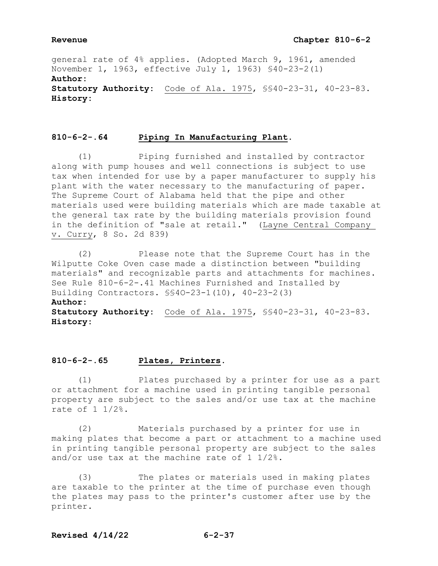## **Revenue Chapter 810-6-2**

general rate of 4% applies. (Adopted March 9, 1961, amended November 1, 1963, effective July 1, 1963) §40-23-2(1) **Author: Statutory Authority:** Code of Ala. 1975, §§40-23-31, 40-23-83. **History:**

# **810-6-2-.64 Piping In Manufacturing Plant.**

 (1) Piping furnished and installed by contractor along with pump houses and well connections is subject to use tax when intended for use by a paper manufacturer to supply his plant with the water necessary to the manufacturing of paper. The Supreme Court of Alabama held that the pipe and other materials used were building materials which are made taxable at the general tax rate by the building materials provision found in the definition of "sale at retail." (Layne Central Company v. Curry, 8 So. 2d 839)

 (2) Please note that the Supreme Court has in the Wilputte Coke Oven case made a distinction between "building materials" and recognizable parts and attachments for machines. See Rule 810-6-2-.41 Machines Furnished and Installed by Building Contractors. §§4O-23-1(10), 40-23-2(3) **Author: Statutory Authority:** Code of Ala. 1975, §§40-23-31, 40-23-83. **History:**

# **810-6-2-.65 Plates, Printers.**

 (1) Plates purchased by a printer for use as a part or attachment for a machine used in printing tangible personal property are subject to the sales and/or use tax at the machine rate of 1 1/2%.

 (2) Materials purchased by a printer for use in making plates that become a part or attachment to a machine used in printing tangible personal property are subject to the sales and/or use tax at the machine rate of 1 1/2%.

 (3) The plates or materials used in making plates are taxable to the printer at the time of purchase even though the plates may pass to the printer's customer after use by the printer.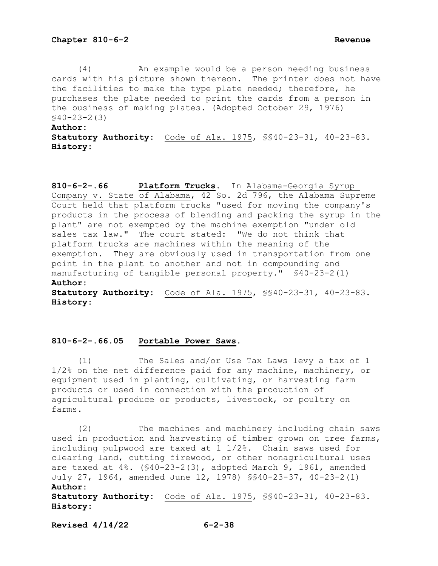(4) An example would be a person needing business cards with his picture shown thereon. The printer does not have the facilities to make the type plate needed; therefore, he purchases the plate needed to print the cards from a person in the business of making plates. (Adopted October 29, 1976)  $$40-23-2(3)$ 

### **Author:**

**Statutory Authority:** Code of Ala. 1975, §§40-23-31, 40-23-83. **History:**

**810-6-2-.66 Platform Trucks.** In Alabama-Georgia Syrup Company v. State of Alabama, 42 So. 2d 796, the Alabama Supreme Court held that platform trucks "used for moving the company's products in the process of blending and packing the syrup in the plant" are not exempted by the machine exemption "under old sales tax law." The court stated: "We do not think that platform trucks are machines within the meaning of the exemption. They are obviously used in transportation from one point in the plant to another and not in compounding and manufacturing of tangible personal property." §40-23-2(1) **Author:**

**Statutory Authority:** Code of Ala. 1975, §§40-23-31, 40-23-83. **History:**

## **810-6-2-.66.05 Portable Power Saws.**

 (1) The Sales and/or Use Tax Laws levy a tax of 1 1/2% on the net difference paid for any machine, machinery, or equipment used in planting, cultivating, or harvesting farm products or used in connection with the production of agricultural produce or products, livestock, or poultry on farms.

 (2) The machines and machinery including chain saws used in production and harvesting of timber grown on tree farms, including pulpwood are taxed at 1 1/2%. Chain saws used for clearing land, cutting firewood, or other nonagricultural uses are taxed at 4%. (§40-23-2(3), adopted March 9, 1961, amended July 27, 1964, amended June 12, 1978) §§40-23-37, 40-23-2(1) **Author:**

**Statutory Authority:** Code of Ala. 1975, §§40-23-31, 40-23-83. **History:**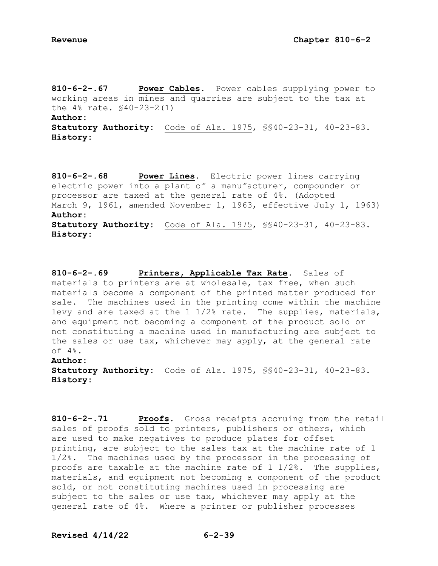**810-6-2-.67 Power Cables.** Power cables supplying power to working areas in mines and quarries are subject to the tax at the 4% rate. §40-23-2(1) **Author:**

**Statutory Authority:** Code of Ala. 1975, §§40-23-31, 40-23-83. **History:**

**810-6-2-.68 Power Lines.** Electric power lines carrying electric power into a plant of a manufacturer, compounder or processor are taxed at the general rate of 4%. (Adopted March 9, 1961, amended November 1, 1963, effective July 1, 1963) **Author: Statutory Authority:** Code of Ala. 1975, §§40-23-31, 40-23-83. **History:**

**810-6-2-.69 Printers, Applicable Tax Rate.** Sales of materials to printers are at wholesale, tax free, when such materials become a component of the printed matter produced for sale. The machines used in the printing come within the machine levy and are taxed at the 1 1/2% rate. The supplies, materials, and equipment not becoming a component of the product sold or not constituting a machine used in manufacturing are subject to the sales or use tax, whichever may apply, at the general rate of 4%.

## **Author:**

**Statutory Authority:** Code of Ala. 1975, §§40-23-31, 40-23-83. **History:**

**810-6-2-.71 Proofs.** Gross receipts accruing from the retail sales of proofs sold to printers, publishers or others, which are used to make negatives to produce plates for offset printing, are subject to the sales tax at the machine rate of 1 1/2%. The machines used by the processor in the processing of proofs are taxable at the machine rate of 1 1/2%. The supplies, materials, and equipment not becoming a component of the product sold, or not constituting machines used in processing are subject to the sales or use tax, whichever may apply at the general rate of 4%. Where a printer or publisher processes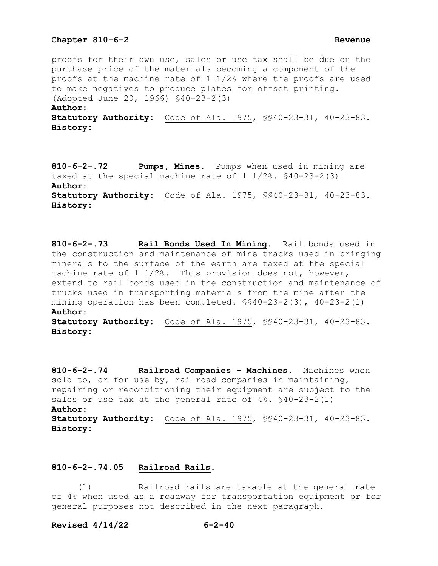proofs for their own use, sales or use tax shall be due on the purchase price of the materials becoming a component of the proofs at the machine rate of 1 1/2% where the proofs are used to make negatives to produce plates for offset printing. (Adopted June 20, 1966) §40-23-2(3) **Author:**

**Statutory Authority:** Code of Ala. 1975, §§40-23-31, 40-23-83. **History:**

**810-6-2-.72 Pumps, Mines.** Pumps when used in mining are taxed at the special machine rate of 1 1/2%. §40-23-2(3) **Author: Statutory Authority:** Code of Ala. 1975, §§40-23-31, 40-23-83. **History:**

**810-6-2-.73 Rail Bonds Used In Mining.** Rail bonds used in the construction and maintenance of mine tracks used in bringing minerals to the surface of the earth are taxed at the special machine rate of 1 1/2%. This provision does not, however, extend to rail bonds used in the construction and maintenance of trucks used in transporting materials from the mine after the mining operation has been completed. §§40-23-2(3), 40-23-2(1) **Author: Statutory Authority:** Code of Ala. 1975, §§40-23-31, 40-23-83.

**810-6-2-.74 Railroad Companies - Machines.** Machines when sold to, or for use by, railroad companies in maintaining, repairing or reconditioning their equipment are subject to the sales or use tax at the general rate of  $4\%$ .  $$40-23-2(1)$ **Author: Statutory Authority:** Code of Ala. 1975, §§40-23-31, 40-23-83. **History:**

### **810-6-2-.74.05 Railroad Rails.**

 (1) Railroad rails are taxable at the general rate of 4% when used as a roadway for transportation equipment or for general purposes not described in the next paragraph.

### **Revised 4/14/22 6-2-40**

**History:**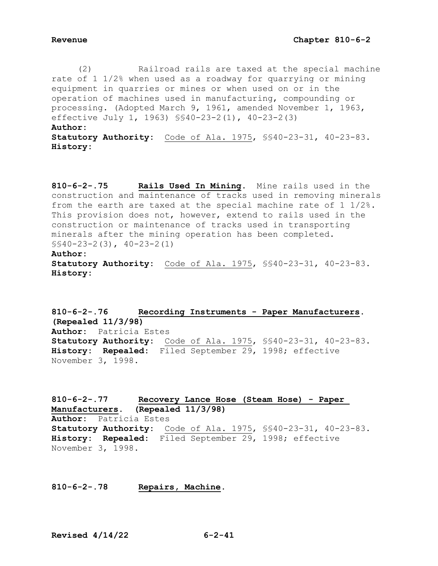(2) Railroad rails are taxed at the special machine rate of 1 1/2% when used as a roadway for quarrying or mining equipment in quarries or mines or when used on or in the operation of machines used in manufacturing, compounding or processing. (Adopted March 9, 1961, amended November 1, 1963, effective July 1, 1963) §§40-23-2(1), 40-23-2(3) **Author: Statutory Authority:** Code of Ala. 1975, §§40-23-31, 40-23-83. **History:**

**810-6-2-.75 Rails Used In Mining.** Mine rails used in the construction and maintenance of tracks used in removing minerals from the earth are taxed at the special machine rate of 1 1/2%. This provision does not, however, extend to rails used in the construction or maintenance of tracks used in transporting minerals after the mining operation has been completed. §§40-23-2(3), 40-23-2(1) **Author: Statutory Authority:** Code of Ala. 1975, §§40-23-31, 40-23-83.

**History:**

**810-6-2-.76 Recording Instruments - Paper Manufacturers. (Repealed 11/3/98) Author:** Patricia Estes **Statutory Authority:** Code of Ala. 1975, §§40-23-31, 40-23-83. **History: Repealed:** Filed September 29, 1998; effective November 3, 1998.

**810-6-2-.77 Recovery Lance Hose (Steam Hose) - Paper Manufacturers. (Repealed 11/3/98) Author:** Patricia Estes **Statutory Authority:** Code of Ala. 1975, §§40-23-31, 40-23-83. **History: Repealed:** Filed September 29, 1998; effective November 3, 1998.

## **810-6-2-.78 Repairs, Machine.**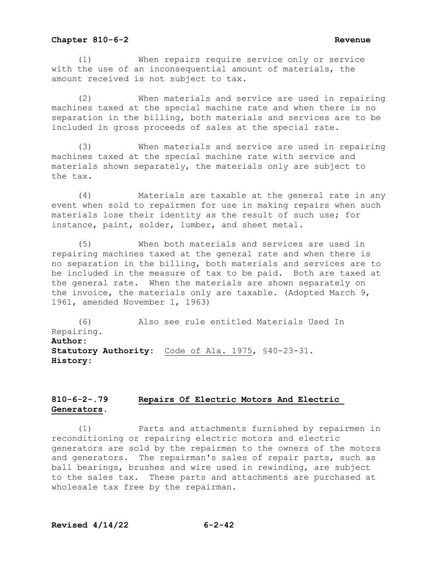(1) When repairs require service only or service with the use of an inconsequential amount of materials, the amount received is not subject to tax.

 (2) When materials and service are used in repairing machines taxed at the special machine rate and when there is no separation in the billing, both materials and services are to be included in gross proceeds of sales at the special rate.

 (3) When materials and service are used in repairing machines taxed at the special machine rate with service and materials shown separately, the materials only are subject to the tax.

 (4) Materials are taxable at the general rate in any event when sold to repairmen for use in making repairs when such materials lose their identity as the result of such use; for instance, paint, solder, lumber, and sheet metal.

 (5) When both materials and services are used in repairing machines taxed at the general rate and when there is no separation in the billing, both materials and services are to be included in the measure of tax to be paid. Both are taxed at the general rate. When the materials are shown separately on the invoice, the materials only are taxable. (Adopted March 9, 1961, amended November 1, 1963)

 (6) Also see rule entitled Materials Used In Repairing. **Author: Statutory Authority:** Code of Ala. 1975, §40-23-31. **History:**

# **810-6-2-.79 Repairs Of Electric Motors And Electric Generators.**

 (1) Parts and attachments furnished by repairmen in reconditioning or repairing electric motors and electric generators are sold by the repairmen to the owners of the motors and generators. The repairman's sales of repair parts, such as ball bearings, brushes and wire used in rewinding, are subject to the sales tax. These parts and attachments are purchased at wholesale tax free by the repairman.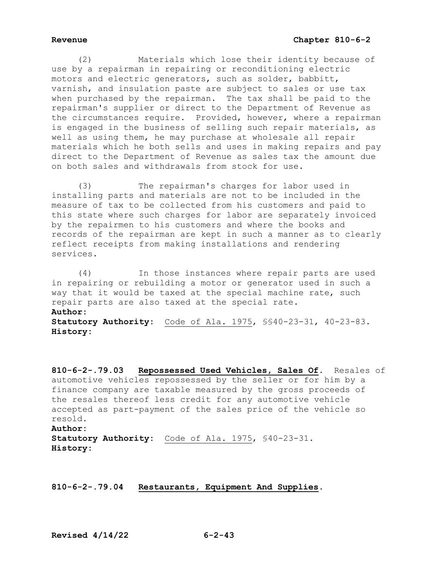(2) Materials which lose their identity because of use by a repairman in repairing or reconditioning electric motors and electric generators, such as solder, babbitt, varnish, and insulation paste are subject to sales or use tax when purchased by the repairman. The tax shall be paid to the repairman's supplier or direct to the Department of Revenue as the circumstances require. Provided, however, where a repairman is engaged in the business of selling such repair materials, as well as using them, he may purchase at wholesale all repair materials which he both sells and uses in making repairs and pay direct to the Department of Revenue as sales tax the amount due on both sales and withdrawals from stock for use.

 (3) The repairman's charges for labor used in installing parts and materials are not to be included in the measure of tax to be collected from his customers and paid to this state where such charges for labor are separately invoiced by the repairmen to his customers and where the books and records of the repairman are kept in such a manner as to clearly reflect receipts from making installations and rendering services.

 (4) In those instances where repair parts are used in repairing or rebuilding a motor or generator used in such a way that it would be taxed at the special machine rate, such repair parts are also taxed at the special rate. **Author: Statutory Authority:** Code of Ala. 1975, §§40-23-31, 40-23-83. **History:**

**810-6-2-.79.03 Repossessed Used Vehicles, Sales Of.** Resales of automotive vehicles repossessed by the seller or for him by a finance company are taxable measured by the gross proceeds of the resales thereof less credit for any automotive vehicle accepted as part-payment of the sales price of the vehicle so resold. **Author: Statutory Authority:** Code of Ala. 1975, §40-23-31. **History:**

**810-6-2-.79.04 Restaurants, Equipment And Supplies.**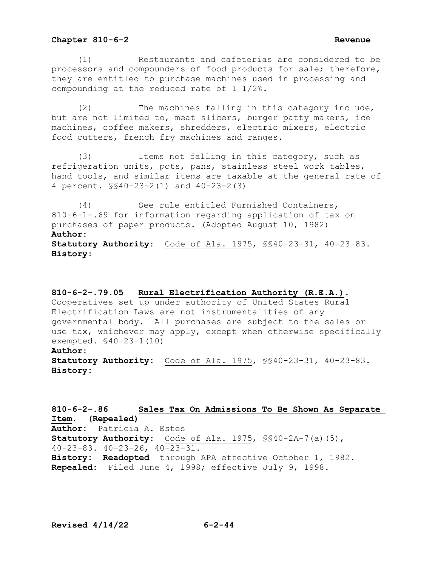(1) Restaurants and cafeterias are considered to be processors and compounders of food products for sale; therefore, they are entitled to purchase machines used in processing and compounding at the reduced rate of 1 1/2%.

 (2) The machines falling in this category include, but are not limited to, meat slicers, burger patty makers, ice machines, coffee makers, shredders, electric mixers, electric food cutters, french fry machines and ranges.

 (3) Items not falling in this category, such as refrigeration units, pots, pans, stainless steel work tables, hand tools, and similar items are taxable at the general rate of 4 percent. §§40-23-2(1) and 40-23-2(3)

 (4) See rule entitled Furnished Containers, 810-6-1-.69 for information regarding application of tax on purchases of paper products. (Adopted August 10, 1982) **Author: Statutory Authority:** Code of Ala. 1975, §§40-23-31, 40-23-83. **History:**

### **810-6-2-.79.05 Rural Electrification Authority (R.E.A.).**

Cooperatives set up under authority of United States Rural Electrification Laws are not instrumentalities of any governmental body. All purchases are subject to the sales or use tax, whichever may apply, except when otherwise specifically exempted. §40-23-1(10)

## **Author:**

**Statutory Authority:** Code of Ala. 1975, §§40-23-31, 40-23-83. **History:**

**810-6-2-.86 Sales Tax On Admissions To Be Shown As Separate Item. (Repealed) Author:** Patricia A. Estes **Statutory Authority:** Code of Ala. 1975, §§40-2A-7(a)(5), 40-23-83. 40-23-26, 40-23-31. **History: Readopted** through APA effective October 1, 1982. **Repealed:** Filed June 4, 1998; effective July 9, 1998.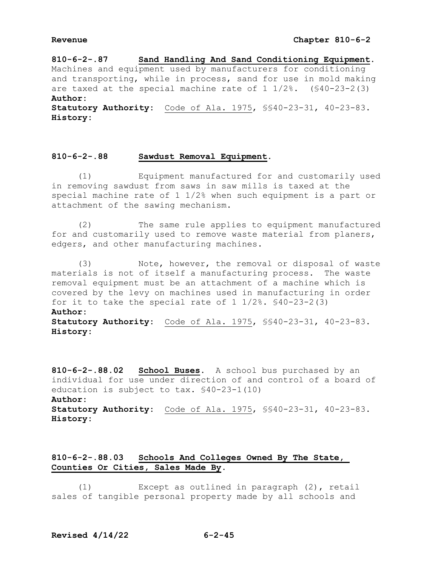**810-6-2-.87 Sand Handling And Sand Conditioning Equipment.** Machines and equipment used by manufacturers for conditioning and transporting, while in process, sand for use in mold making are taxed at the special machine rate of  $1 \frac{1}{2}\%$ . (\$40-23-2(3) **Author: Statutory Authority:** Code of Ala. 1975, §§40-23-31, 40-23-83.

**History:**

# **810-6-2-.88 Sawdust Removal Equipment.**

 (1) Equipment manufactured for and customarily used in removing sawdust from saws in saw mills is taxed at the special machine rate of 1 1/2% when such equipment is a part or attachment of the sawing mechanism.

 (2) The same rule applies to equipment manufactured for and customarily used to remove waste material from planers, edgers, and other manufacturing machines.

 (3) Note, however, the removal or disposal of waste materials is not of itself a manufacturing process. The waste removal equipment must be an attachment of a machine which is covered by the levy on machines used in manufacturing in order for it to take the special rate of  $1 \frac{1}{2\%}$ .  $\frac{1}{90}$ -23-2(3) **Author: Statutory Authority:** Code of Ala. 1975, §§40-23-31, 40-23-83. **History:**

**810-6-2-.88.02 School Buses.** A school bus purchased by an individual for use under direction of and control of a board of education is subject to tax. §40-23-1(10) **Author: Statutory Authority:** Code of Ala. 1975, §§40-23-31, 40-23-83. **History:**

# **810-6-2-.88.03 Schools And Colleges Owned By The State, Counties Or Cities, Sales Made By.**

 (1) Except as outlined in paragraph (2), retail sales of tangible personal property made by all schools and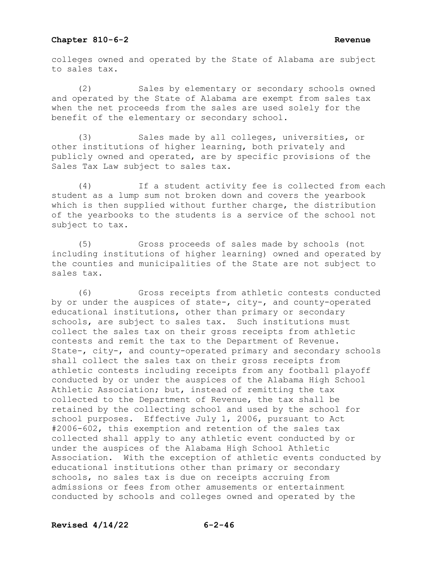colleges owned and operated by the State of Alabama are subject to sales tax.

(2) Sales by elementary or secondary schools owned and operated by the State of Alabama are exempt from sales tax when the net proceeds from the sales are used solely for the benefit of the elementary or secondary school.

(3) Sales made by all colleges, universities, or other institutions of higher learning, both privately and publicly owned and operated, are by specific provisions of the Sales Tax Law subject to sales tax.

(4) If a student activity fee is collected from each student as a lump sum not broken down and covers the yearbook which is then supplied without further charge, the distribution of the yearbooks to the students is a service of the school not subject to tax.

(5) Gross proceeds of sales made by schools (not including institutions of higher learning) owned and operated by the counties and municipalities of the State are not subject to sales tax.

(6) Gross receipts from athletic contests conducted by or under the auspices of state-, city-, and county-operated educational institutions, other than primary or secondary schools, are subject to sales tax. Such institutions must collect the sales tax on their gross receipts from athletic contests and remit the tax to the Department of Revenue. State-, city-, and county-operated primary and secondary schools shall collect the sales tax on their gross receipts from athletic contests including receipts from any football playoff conducted by or under the auspices of the Alabama High School Athletic Association; but, instead of remitting the tax collected to the Department of Revenue, the tax shall be retained by the collecting school and used by the school for school purposes. Effective July 1, 2006, pursuant to Act #2006-602, this exemption and retention of the sales tax collected shall apply to any athletic event conducted by or under the auspices of the Alabama High School Athletic Association. With the exception of athletic events conducted by educational institutions other than primary or secondary schools, no sales tax is due on receipts accruing from admissions or fees from other amusements or entertainment conducted by schools and colleges owned and operated by the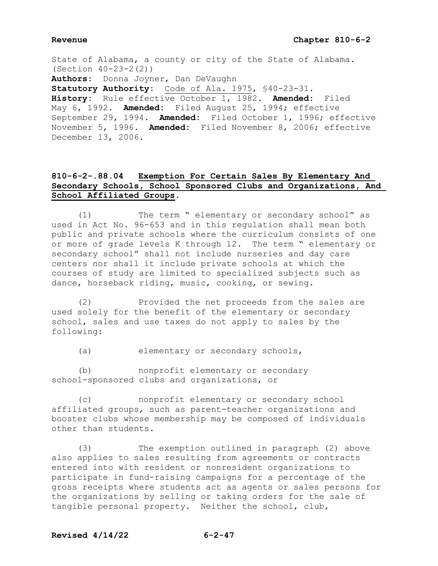State of Alabama, a county or city of the State of Alabama. (Section 40-23-2(2)) **Authors:** Donna Joyner, Dan DeVaughn **Statutory Authority:** Code of Ala. 1975, §40-23-31. **History:** Rule effective October 1, 1982. **Amended:** Filed May 6, 1992. **Amended:** Filed August 25, 1994; effective September 29, 1994. **Amended:** Filed October 1, 1996; effective November 5, 1996. **Amended:** Filed November 8, 2006; effective December 13, 2006.

# **810-6-2-.88.04 Exemption For Certain Sales By Elementary And Secondary Schools, School Sponsored Clubs and Organizations, And School Affiliated Groups.**

 (1) The term " elementary or secondary school" as used in Act No. 96-653 and in this regulation shall mean both public and private schools where the curriculum consists of one or more of grade levels K through 12. The term " elementary or secondary school" shall not include nurseries and day care centers nor shall it include private schools at which the courses of study are limited to specialized subjects such as dance, horseback riding, music, cooking, or sewing.

 (2) Provided the net proceeds from the sales are used solely for the benefit of the elementary or secondary school, sales and use taxes do not apply to sales by the following:

(a) elementary or secondary schools,

 (b) nonprofit elementary or secondary school-sponsored clubs and organizations, or

 (c) nonprofit elementary or secondary school affiliated groups, such as parent-teacher organizations and booster clubs whose membership may be composed of individuals other than students.

 (3) The exemption outlined in paragraph (2) above also applies to sales resulting from agreements or contracts entered into with resident or nonresident organizations to participate in fund-raising campaigns for a percentage of the gross receipts where students act as agents or sales persons for the organizations by selling or taking orders for the sale of tangible personal property. Neither the school, club,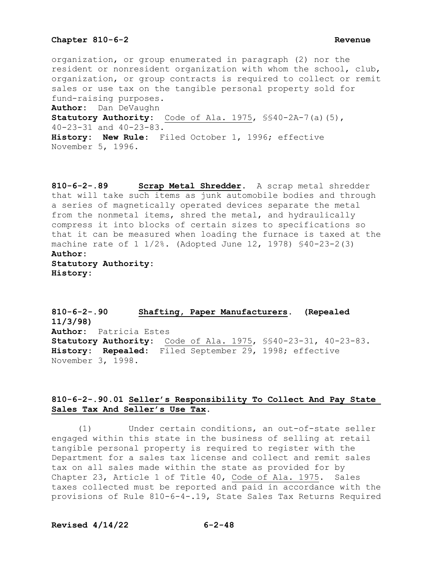organization, or group enumerated in paragraph (2) nor the resident or nonresident organization with whom the school, club, organization, or group contracts is required to collect or remit sales or use tax on the tangible personal property sold for fund-raising purposes.

**Author:** Dan DeVaughn

**Statutory Authority:** Code of Ala. 1975, §§40-2A-7(a)(5), 40-23-31 and 40-23-83.

**History: New Rule:** Filed October 1, 1996; effective November 5, 1996.

**810-6-2-.89 Scrap Metal Shredder.** A scrap metal shredder that will take such items as junk automobile bodies and through a series of magnetically operated devices separate the metal from the nonmetal items, shred the metal, and hydraulically compress it into blocks of certain sizes to specifications so that it can be measured when loading the furnace is taxed at the machine rate of 1 1/2%. (Adopted June 12, 1978) §40-23-2(3) **Author: Statutory Authority:**

**History:**

**810-6-2-.90 Shafting, Paper Manufacturers. (Repealed 11/3/98) Author:** Patricia Estes **Statutory Authority:** Code of Ala. 1975, §§40-23-31, 40-23-83. **History: Repealed:** Filed September 29, 1998; effective November 3, 1998.

# **810-6-2-.90.01 Seller's Responsibility To Collect And Pay State Sales Tax And Seller's Use Tax.**

 (1) Under certain conditions, an out-of-state seller engaged within this state in the business of selling at retail tangible personal property is required to register with the Department for a sales tax license and collect and remit sales tax on all sales made within the state as provided for by Chapter 23, Article 1 of Title 40, Code of Ala. 1975. Sales taxes collected must be reported and paid in accordance with the provisions of Rule 810-6-4-.19, State Sales Tax Returns Required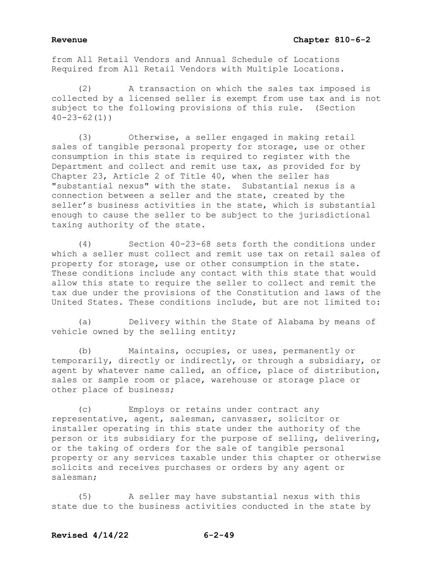from All Retail Vendors and Annual Schedule of Locations Required from All Retail Vendors with Multiple Locations.

(2) A transaction on which the sales tax imposed is collected by a licensed seller is exempt from use tax and is not subject to the following provisions of this rule. (Section  $40 - 23 - 62(1)$ 

(3) Otherwise, a seller engaged in making retail sales of tangible personal property for storage, use or other consumption in this state is required to register with the Department and collect and remit use tax, as provided for by Chapter 23, Article 2 of Title 40, when the seller has "substantial nexus" with the state. Substantial nexus is a connection between a seller and the state, created by the seller's business activities in the state, which is substantial enough to cause the seller to be subject to the jurisdictional taxing authority of the state.

(4) Section 40-23-68 sets forth the conditions under which a seller must collect and remit use tax on retail sales of property for storage, use or other consumption in the state. These conditions include any contact with this state that would allow this state to require the seller to collect and remit the tax due under the provisions of the Constitution and laws of the United States. These conditions include, but are not limited to:

(a) Delivery within the State of Alabama by means of vehicle owned by the selling entity;

(b) Maintains, occupies, or uses, permanently or temporarily, directly or indirectly, or through a subsidiary, or agent by whatever name called, an office, place of distribution, sales or sample room or place, warehouse or storage place or other place of business;

(c) Employs or retains under contract any representative, agent, salesman, canvasser, solicitor or installer operating in this state under the authority of the person or its subsidiary for the purpose of selling, delivering, or the taking of orders for the sale of tangible personal property or any services taxable under this chapter or otherwise solicits and receives purchases or orders by any agent or salesman;

(5) A seller may have substantial nexus with this state due to the business activities conducted in the state by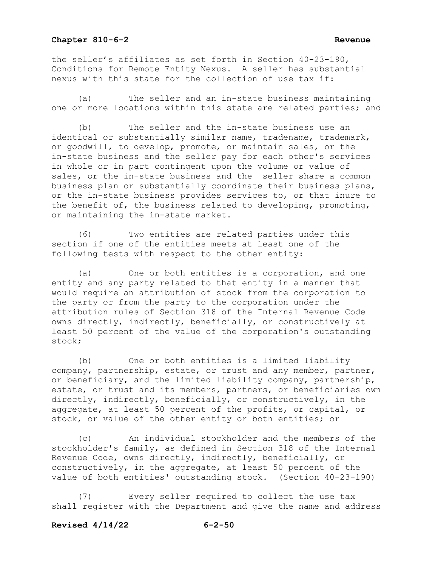the seller's affiliates as set forth in Section 40-23-190, Conditions for Remote Entity Nexus. A seller has substantial nexus with this state for the collection of use tax if:

(a) The seller and an in-state business maintaining one or more locations within this state are related parties; and

(b) The seller and the in-state business use an identical or substantially similar name, tradename, trademark, or goodwill, to develop, promote, or maintain sales, or the in-state business and the seller pay for each other's services in whole or in part contingent upon the volume or value of sales, or the in-state business and the seller share a common business plan or substantially coordinate their business plans, or the in-state business provides services to, or that inure to the benefit of, the business related to developing, promoting, or maintaining the in-state market.

(6) Two entities are related parties under this section if one of the entities meets at least one of the following tests with respect to the other entity:

(a) One or both entities is a corporation, and one entity and any party related to that entity in a manner that would require an attribution of stock from the corporation to the party or from the party to the corporation under the attribution rules of Section 318 of the Internal Revenue Code owns directly, indirectly, beneficially, or constructively at least 50 percent of the value of the corporation's outstanding stock;

(b) One or both entities is a limited liability company, partnership, estate, or trust and any member, partner, or beneficiary, and the limited liability company, partnership, estate, or trust and its members, partners, or beneficiaries own directly, indirectly, beneficially, or constructively, in the aggregate, at least 50 percent of the profits, or capital, or stock, or value of the other entity or both entities; or

(c) An individual stockholder and the members of the stockholder's family, as defined in Section 318 of the Internal Revenue Code, owns directly, indirectly, beneficially, or constructively, in the aggregate, at least 50 percent of the value of both entities' outstanding stock. (Section 40-23-190)

(7) Every seller required to collect the use tax shall register with the Department and give the name and address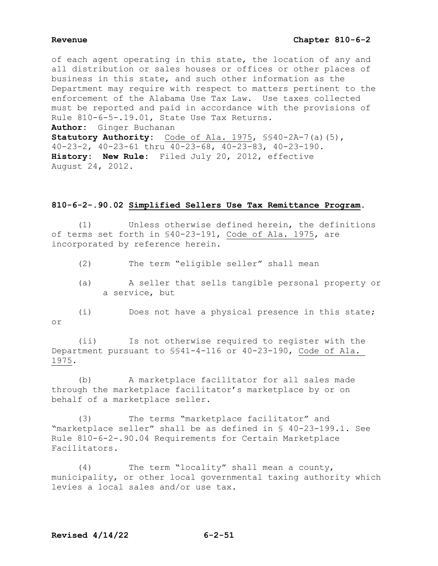# **Revenue Chapter 810-6-2**

of each agent operating in this state, the location of any and all distribution or sales houses or offices or other places of business in this state, and such other information as the Department may require with respect to matters pertinent to the enforcement of the Alabama Use Tax Law. Use taxes collected must be reported and paid in accordance with the provisions of Rule 810-6-5-.19.01, State Use Tax Returns. **Author:** Ginger Buchanan **Statutory Authority:** Code of Ala. 1975, §§40-2A-7(a)(5),

40-23-2, 40-23-61 thru 40-23-68, 40-23-83, 40-23-190. **History: New Rule:** Filed July 20, 2012, effective August 24, 2012.

## **810-6-2-.90.02 Simplified Sellers Use Tax Remittance Program.**

 (1) Unless otherwise defined herein, the definitions of terms set forth in §40-23-191, Code of Ala. 1975, are incorporated by reference herein.

- (2) The term "eligible seller" shall mean
- (a) A seller that sells tangible personal property or a service, but
- (i) Does not have a physical presence in this state; or

 (ii) Is not otherwise required to register with the Department pursuant to §§41-4-116 or 40-23-190, Code of Ala. 1975.

 (b) A marketplace facilitator for all sales made through the marketplace facilitator's marketplace by or on behalf of a marketplace seller.

 (3) The terms "marketplace facilitator" and "marketplace seller" shall be as defined in § 40-23-199.1. See Rule 810-6-2-.90.04 Requirements for Certain Marketplace Facilitators.

 (4) The term "locality" shall mean a county, municipality, or other local governmental taxing authority which levies a local sales and/or use tax.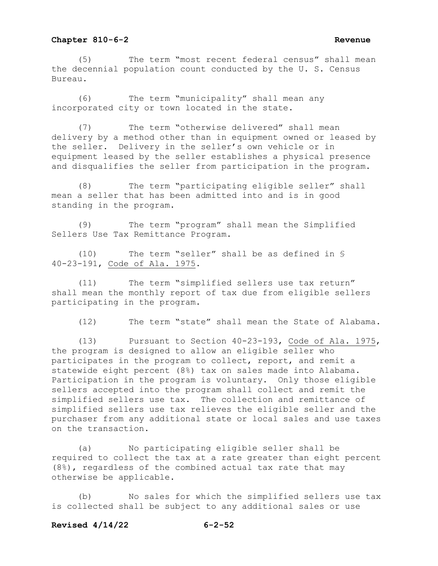(5) The term "most recent federal census" shall mean the decennial population count conducted by the U. S. Census Bureau.

 (6) The term "municipality" shall mean any incorporated city or town located in the state.

 (7) The term "otherwise delivered" shall mean delivery by a method other than in equipment owned or leased by the seller. Delivery in the seller's own vehicle or in equipment leased by the seller establishes a physical presence and disqualifies the seller from participation in the program.

 (8) The term "participating eligible seller" shall mean a seller that has been admitted into and is in good standing in the program.

 (9) The term "program" shall mean the Simplified Sellers Use Tax Remittance Program.

 (10) The term "seller" shall be as defined in § 40-23-191, Code of Ala. 1975.

 (11) The term "simplified sellers use tax return" shall mean the monthly report of tax due from eligible sellers participating in the program.

(12) The term "state" shall mean the State of Alabama.

 (13) Pursuant to Section 40-23-193, Code of Ala. 1975, the program is designed to allow an eligible seller who participates in the program to collect, report, and remit a statewide eight percent (8%) tax on sales made into Alabama. Participation in the program is voluntary. Only those eligible sellers accepted into the program shall collect and remit the simplified sellers use tax. The collection and remittance of simplified sellers use tax relieves the eligible seller and the purchaser from any additional state or local sales and use taxes on the transaction.

 (a) No participating eligible seller shall be required to collect the tax at a rate greater than eight percent (8%), regardless of the combined actual tax rate that may otherwise be applicable.

 (b) No sales for which the simplified sellers use tax is collected shall be subject to any additional sales or use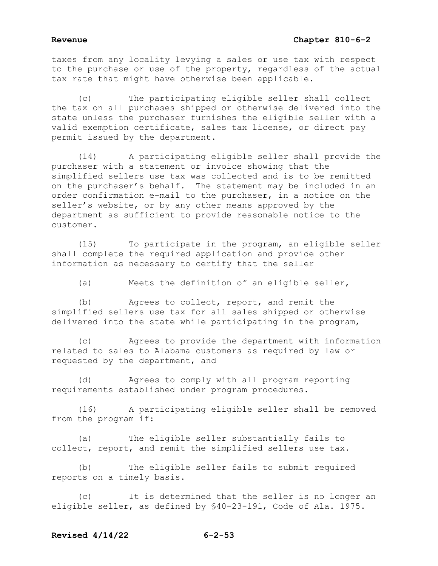# **Revenue Chapter 810-6-2**

taxes from any locality levying a sales or use tax with respect to the purchase or use of the property, regardless of the actual tax rate that might have otherwise been applicable.

 (c) The participating eligible seller shall collect the tax on all purchases shipped or otherwise delivered into the state unless the purchaser furnishes the eligible seller with a valid exemption certificate, sales tax license, or direct pay permit issued by the department.

 (14) A participating eligible seller shall provide the purchaser with a statement or invoice showing that the simplified sellers use tax was collected and is to be remitted on the purchaser's behalf. The statement may be included in an order confirmation e-mail to the purchaser, in a notice on the seller's website, or by any other means approved by the department as sufficient to provide reasonable notice to the customer.

 (15) To participate in the program, an eligible seller shall complete the required application and provide other information as necessary to certify that the seller

(a) Meets the definition of an eligible seller,

 (b) Agrees to collect, report, and remit the simplified sellers use tax for all sales shipped or otherwise delivered into the state while participating in the program,

 (c) Agrees to provide the department with information related to sales to Alabama customers as required by law or requested by the department, and

 (d) Agrees to comply with all program reporting requirements established under program procedures.

 (16) A participating eligible seller shall be removed from the program if:

 (a) The eligible seller substantially fails to collect, report, and remit the simplified sellers use tax.

 (b) The eligible seller fails to submit required reports on a timely basis.

 (c) It is determined that the seller is no longer an eligible seller, as defined by §40-23-191, Code of Ala. 1975.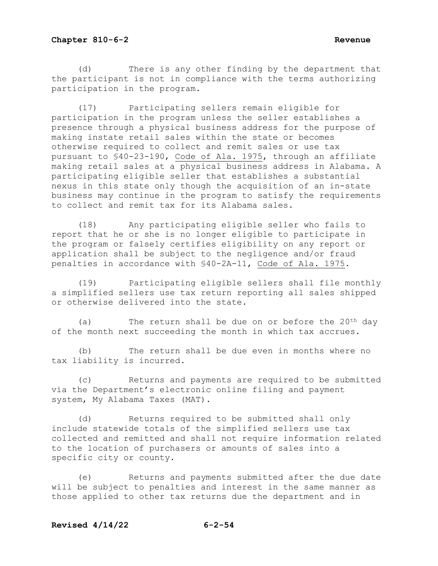(d) There is any other finding by the department that the participant is not in compliance with the terms authorizing participation in the program.

 (17) Participating sellers remain eligible for participation in the program unless the seller establishes a presence through a physical business address for the purpose of making instate retail sales within the state or becomes otherwise required to collect and remit sales or use tax pursuant to §40-23-190, Code of Ala. 1975, through an affiliate making retail sales at a physical business address in Alabama. A participating eligible seller that establishes a substantial nexus in this state only though the acquisition of an in-state business may continue in the program to satisfy the requirements to collect and remit tax for its Alabama sales.

 (18) Any participating eligible seller who fails to report that he or she is no longer eligible to participate in the program or falsely certifies eligibility on any report or application shall be subject to the negligence and/or fraud penalties in accordance with §40-2A-11, Code of Ala. 1975.

 (19) Participating eligible sellers shall file monthly a simplified sellers use tax return reporting all sales shipped or otherwise delivered into the state.

(a) The return shall be due on or before the  $20<sup>th</sup>$  day of the month next succeeding the month in which tax accrues.

 (b) The return shall be due even in months where no tax liability is incurred.

 (c) Returns and payments are required to be submitted via the Department's electronic online filing and payment system, My Alabama Taxes (MAT).

 (d) Returns required to be submitted shall only include statewide totals of the simplified sellers use tax collected and remitted and shall not require information related to the location of purchasers or amounts of sales into a specific city or county.

 (e) Returns and payments submitted after the due date will be subject to penalties and interest in the same manner as those applied to other tax returns due the department and in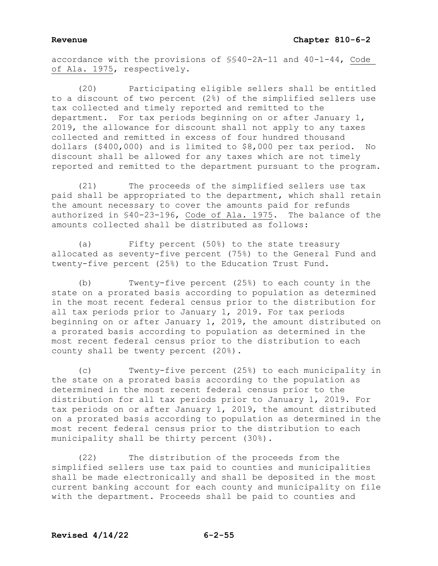accordance with the provisions of §§40-2A-11 and 40-1-44, Code of Ala. 1975, respectively.

 (20) Participating eligible sellers shall be entitled to a discount of two percent (2%) of the simplified sellers use tax collected and timely reported and remitted to the department. For tax periods beginning on or after January 1, 2019, the allowance for discount shall not apply to any taxes collected and remitted in excess of four hundred thousand dollars (\$400,000) and is limited to \$8,000 per tax period. No discount shall be allowed for any taxes which are not timely reported and remitted to the department pursuant to the program.

 (21) The proceeds of the simplified sellers use tax paid shall be appropriated to the department, which shall retain the amount necessary to cover the amounts paid for refunds authorized in §40-23-196, Code of Ala. 1975. The balance of the amounts collected shall be distributed as follows:

 (a) Fifty percent (50%) to the state treasury allocated as seventy-five percent (75%) to the General Fund and twenty-five percent (25%) to the Education Trust Fund.

 (b) Twenty-five percent (25%) to each county in the state on a prorated basis according to population as determined in the most recent federal census prior to the distribution for all tax periods prior to January 1, 2019. For tax periods beginning on or after January 1, 2019, the amount distributed on a prorated basis according to population as determined in the most recent federal census prior to the distribution to each county shall be twenty percent (20%).

 (c) Twenty-five percent (25%) to each municipality in the state on a prorated basis according to the population as determined in the most recent federal census prior to the distribution for all tax periods prior to January 1, 2019. For tax periods on or after January 1, 2019, the amount distributed on a prorated basis according to population as determined in the most recent federal census prior to the distribution to each municipality shall be thirty percent (30%).

 (22) The distribution of the proceeds from the simplified sellers use tax paid to counties and municipalities shall be made electronically and shall be deposited in the most current banking account for each county and municipality on file with the department. Proceeds shall be paid to counties and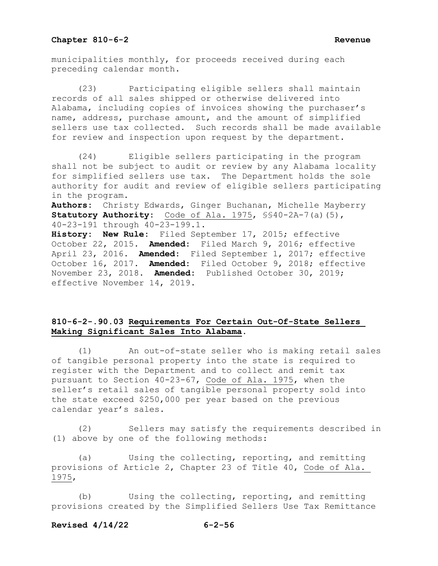municipalities monthly, for proceeds received during each preceding calendar month.

 (23) Participating eligible sellers shall maintain records of all sales shipped or otherwise delivered into Alabama, including copies of invoices showing the purchaser's name, address, purchase amount, and the amount of simplified sellers use tax collected. Such records shall be made available for review and inspection upon request by the department.

 (24) Eligible sellers participating in the program shall not be subject to audit or review by any Alabama locality for simplified sellers use tax. The Department holds the sole authority for audit and review of eligible sellers participating in the program.

**Authors:** Christy Edwards, Ginger Buchanan, Michelle Mayberry **Statutory Authority:** Code of Ala. 1975, §§40-2A-7(a)(5), 40-23-191 through 40-23-199.1.

**History: New Rule:** Filed September 17, 2015; effective October 22, 2015. **Amended:** Filed March 9, 2016; effective April 23, 2016. **Amended:** Filed September 1, 2017; effective October 16, 2017. **Amended:** Filed October 9, 2018; effective November 23, 2018. **Amended:** Published October 30, 2019; effective November 14, 2019.

# **810-6-2-.90.03 Requirements For Certain Out-Of-State Sellers Making Significant Sales Into Alabama.**

 (1) An out-of-state seller who is making retail sales of tangible personal property into the state is required to register with the Department and to collect and remit tax pursuant to Section 40-23-67, Code of Ala. 1975, when the seller's retail sales of tangible personal property sold into the state exceed \$250,000 per year based on the previous calendar year's sales.

 (2) Sellers may satisfy the requirements described in (1) above by one of the following methods:

 (a) Using the collecting, reporting, and remitting provisions of Article 2, Chapter 23 of Title 40, Code of Ala. 1975,

 (b) Using the collecting, reporting, and remitting provisions created by the Simplified Sellers Use Tax Remittance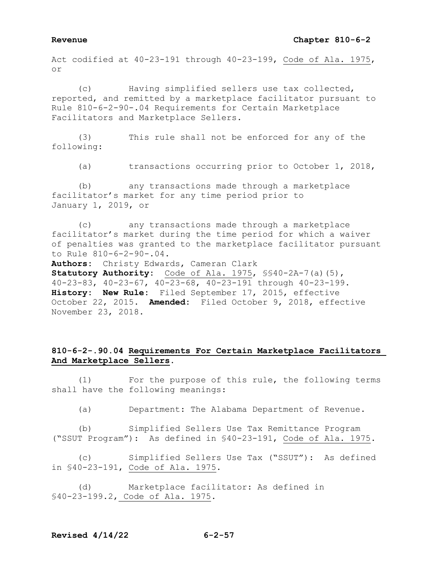### **Revenue Chapter 810-6-2**

Act codified at 40-23-191 through 40-23-199, Code of Ala. 1975, or

 (c) Having simplified sellers use tax collected, reported, and remitted by a marketplace facilitator pursuant to Rule 810-6-2-90-.04 Requirements for Certain Marketplace Facilitators and Marketplace Sellers.

 (3) This rule shall not be enforced for any of the following:

(a) transactions occurring prior to October 1, 2018,

 (b) any transactions made through a marketplace facilitator's market for any time period prior to January 1, 2019, or

 (c) any transactions made through a marketplace facilitator's market during the time period for which a waiver of penalties was granted to the marketplace facilitator pursuant to Rule 810-6-2-90-.04.

**Authors:** Christy Edwards, Cameran Clark **Statutory Authority:** Code of Ala. 1975, §§40-2A-7(a)(5), 40-23-83, 40-23-67, 40-23-68, 40-23-191 through 40-23-199. **History: New Rule:** Filed September 17, 2015, effective October 22, 2015. **Amended:** Filed October 9, 2018, effective November 23, 2018.

# **810-6-2-.90.04 Requirements For Certain Marketplace Facilitators And Marketplace Sellers.**

 (1) For the purpose of this rule, the following terms shall have the following meanings:

(a) Department: The Alabama Department of Revenue.

 (b) Simplified Sellers Use Tax Remittance Program ("SSUT Program"): As defined in §40-23-191, Code of Ala. 1975.

 (c) Simplified Sellers Use Tax ("SSUT"): As defined in §40-23-191, Code of Ala. 1975.

 (d) Marketplace facilitator: As defined in §40-23-199.2, Code of Ala. 1975.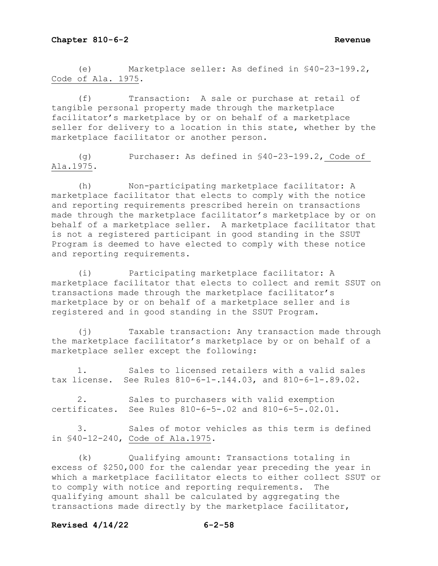(e) Marketplace seller: As defined in §40-23-199.2, Code of Ala. 1975.

 (f) Transaction: A sale or purchase at retail of tangible personal property made through the marketplace facilitator's marketplace by or on behalf of a marketplace seller for delivery to a location in this state, whether by the marketplace facilitator or another person.

 (g) Purchaser: As defined in §40-23-199.2, Code of Ala.1975.

 (h) Non-participating marketplace facilitator: A marketplace facilitator that elects to comply with the notice and reporting requirements prescribed herein on transactions made through the marketplace facilitator's marketplace by or on behalf of a marketplace seller. A marketplace facilitator that is not a registered participant in good standing in the SSUT Program is deemed to have elected to comply with these notice and reporting requirements.

 (i) Participating marketplace facilitator: A marketplace facilitator that elects to collect and remit SSUT on transactions made through the marketplace facilitator's marketplace by or on behalf of a marketplace seller and is registered and in good standing in the SSUT Program.

 (j) Taxable transaction: Any transaction made through the marketplace facilitator's marketplace by or on behalf of a marketplace seller except the following:

 1. Sales to licensed retailers with a valid sales tax license. See Rules 810-6-1-.144.03, and 810-6-1-.89.02.

 2. Sales to purchasers with valid exemption certificates. See Rules 810-6-5-.02 and 810-6-5-.02.01.

 3. Sales of motor vehicles as this term is defined in §40-12-240, Code of Ala.1975.

 (k) Qualifying amount: Transactions totaling in excess of \$250,000 for the calendar year preceding the year in which a marketplace facilitator elects to either collect SSUT or<br>to comply with notice and reporting requirements. The to comply with notice and reporting requirements. qualifying amount shall be calculated by aggregating the transactions made directly by the marketplace facilitator,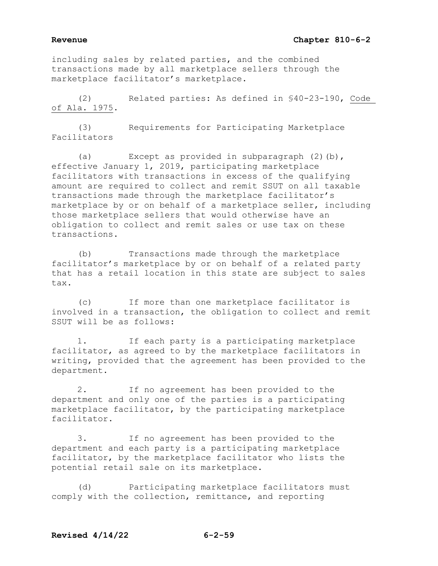including sales by related parties, and the combined transactions made by all marketplace sellers through the marketplace facilitator's marketplace.

 (2) Related parties: As defined in §40-23-190, Code of Ala. 1975.

 (3) Requirements for Participating Marketplace Facilitators

 (a) Except as provided in subparagraph (2)(b), effective January 1, 2019, participating marketplace facilitators with transactions in excess of the qualifying amount are required to collect and remit SSUT on all taxable transactions made through the marketplace facilitator's marketplace by or on behalf of a marketplace seller, including those marketplace sellers that would otherwise have an obligation to collect and remit sales or use tax on these transactions.

 (b) Transactions made through the marketplace facilitator's marketplace by or on behalf of a related party that has a retail location in this state are subject to sales tax.

 (c) If more than one marketplace facilitator is involved in a transaction, the obligation to collect and remit SSUT will be as follows:

 1. If each party is a participating marketplace facilitator, as agreed to by the marketplace facilitators in writing, provided that the agreement has been provided to the department.

 2. If no agreement has been provided to the department and only one of the parties is a participating marketplace facilitator, by the participating marketplace facilitator.

 3. If no agreement has been provided to the department and each party is a participating marketplace facilitator, by the marketplace facilitator who lists the potential retail sale on its marketplace.

 (d) Participating marketplace facilitators must comply with the collection, remittance, and reporting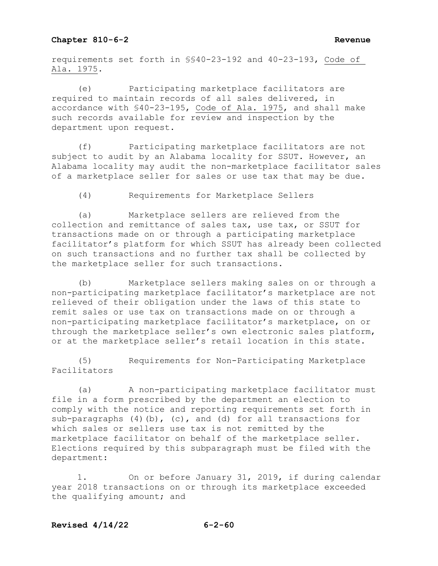requirements set forth in §§40-23-192 and 40-23-193, Code of Ala. 1975.

 (e) Participating marketplace facilitators are required to maintain records of all sales delivered, in accordance with §40-23-195, Code of Ala. 1975, and shall make such records available for review and inspection by the department upon request.

 (f) Participating marketplace facilitators are not subject to audit by an Alabama locality for SSUT. However, an Alabama locality may audit the non-marketplace facilitator sales of a marketplace seller for sales or use tax that may be due.

(4) Requirements for Marketplace Sellers

 (a) Marketplace sellers are relieved from the collection and remittance of sales tax, use tax, or SSUT for transactions made on or through a participating marketplace facilitator's platform for which SSUT has already been collected on such transactions and no further tax shall be collected by the marketplace seller for such transactions.

 (b) Marketplace sellers making sales on or through a non-participating marketplace facilitator's marketplace are not relieved of their obligation under the laws of this state to remit sales or use tax on transactions made on or through a non-participating marketplace facilitator's marketplace, on or through the marketplace seller's own electronic sales platform, or at the marketplace seller's retail location in this state.

 (5) Requirements for Non-Participating Marketplace Facilitators

 (a) A non-participating marketplace facilitator must file in a form prescribed by the department an election to comply with the notice and reporting requirements set forth in sub-paragraphs (4)(b), (c), and (d) for all transactions for which sales or sellers use tax is not remitted by the marketplace facilitator on behalf of the marketplace seller. Elections required by this subparagraph must be filed with the department:

 1. On or before January 31, 2019, if during calendar year 2018 transactions on or through its marketplace exceeded the qualifying amount; and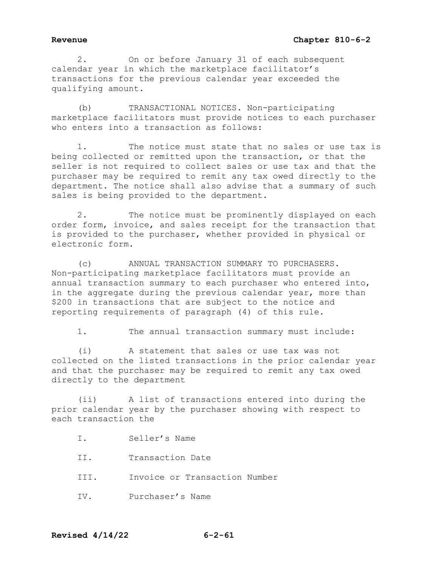# Revenue **Chapter 810-6-2**

2. On or before January 31 of each subsequent calendar year in which the marketplace facilitator's transactions for the previous calendar year exceeded the qualifying amount.

(b) TRANSACTIONAL NOTICES. Non-participating marketplace facilitators must provide notices to each purchaser who enters into a transaction as follows:

1. The notice must state that no sales or use tax is being collected or remitted upon the transaction, or that the seller is not required to collect sales or use tax and that the purchaser may be required to remit any tax owed directly to the department. The notice shall also advise that a summary of such sales is being provided to the department.

2. The notice must be prominently displayed on each order form, invoice, and sales receipt for the transaction that is provided to the purchaser, whether provided in physical or electronic form.

(c) ANNUAL TRANSACTION SUMMARY TO PURCHASERS. Non-participating marketplace facilitators must provide an annual transaction summary to each purchaser who entered into, in the aggregate during the previous calendar year, more than \$200 in transactions that are subject to the notice and reporting requirements of paragraph (4) of this rule.

1. The annual transaction summary must include:

(i) A statement that sales or use tax was not collected on the listed transactions in the prior calendar year and that the purchaser may be required to remit any tax owed directly to the department

(ii) A list of transactions entered into during the prior calendar year by the purchaser showing with respect to each transaction the

- I. Seller's Name
- II. Transaction Date
- III. Invoice or Transaction Number
- IV. Purchaser's Name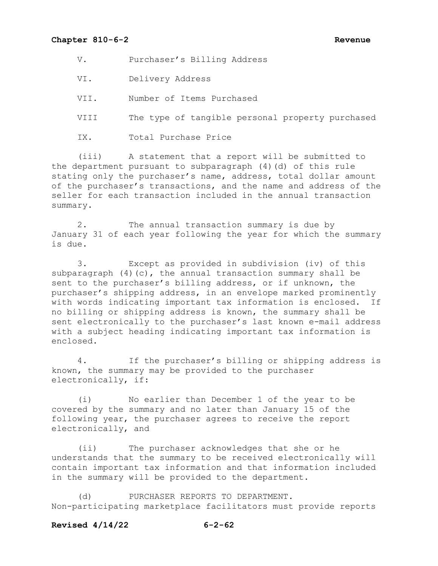V. Purchaser's Billing Address

VI. Delivery Address

VII. Number of Items Purchased

VIII The type of tangible personal property purchased

IX. Total Purchase Price

(iii) A statement that a report will be submitted to the department pursuant to subparagraph (4)(d) of this rule stating only the purchaser's name, address, total dollar amount of the purchaser's transactions, and the name and address of the seller for each transaction included in the annual transaction summary.

2. The annual transaction summary is due by January 31 of each year following the year for which the summary is due.

3. Except as provided in subdivision (iv) of this subparagraph  $(4)(c)$ , the annual transaction summary shall be sent to the purchaser's billing address, or if unknown, the purchaser's shipping address, in an envelope marked prominently with words indicating important tax information is enclosed. If no billing or shipping address is known, the summary shall be sent electronically to the purchaser's last known e-mail address with a subject heading indicating important tax information is enclosed.

4. If the purchaser's billing or shipping address is known, the summary may be provided to the purchaser electronically, if:

(i) No earlier than December 1 of the year to be covered by the summary and no later than January 15 of the following year, the purchaser agrees to receive the report electronically, and

(ii) The purchaser acknowledges that she or he understands that the summary to be received electronically will contain important tax information and that information included in the summary will be provided to the department.

(d) PURCHASER REPORTS TO DEPARTMENT. Non-participating marketplace facilitators must provide reports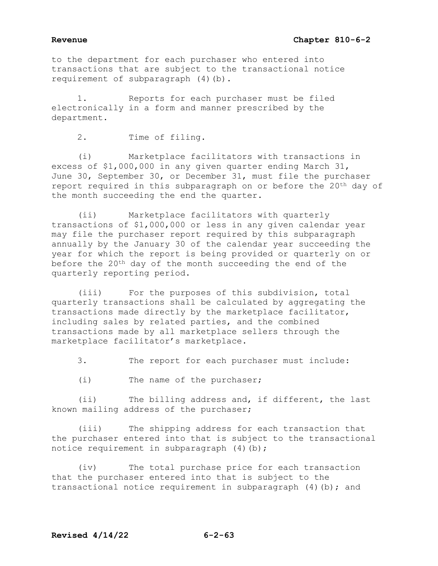# **Revenue Chapter 810-6-2**

to the department for each purchaser who entered into transactions that are subject to the transactional notice requirement of subparagraph (4)(b).

1. Reports for each purchaser must be filed electronically in a form and manner prescribed by the department.

2. Time of filing.

(i) Marketplace facilitators with transactions in excess of \$1,000,000 in any given quarter ending March 31, June 30, September 30, or December 31, must file the purchaser report required in this subparagraph on or before the 20<sup>th</sup> day of the month succeeding the end the quarter.

(ii) Marketplace facilitators with quarterly transactions of \$1,000,000 or less in any given calendar year may file the purchaser report required by this subparagraph annually by the January 30 of the calendar year succeeding the year for which the report is being provided or quarterly on or before the 20th day of the month succeeding the end of the quarterly reporting period.

(iii) For the purposes of this subdivision, total quarterly transactions shall be calculated by aggregating the transactions made directly by the marketplace facilitator, including sales by related parties, and the combined transactions made by all marketplace sellers through the marketplace facilitator's marketplace.

3. The report for each purchaser must include:

(i) The name of the purchaser;

(ii) The billing address and, if different, the last known mailing address of the purchaser;

(iii) The shipping address for each transaction that the purchaser entered into that is subject to the transactional notice requirement in subparagraph (4)(b);

(iv) The total purchase price for each transaction that the purchaser entered into that is subject to the transactional notice requirement in subparagraph (4)(b); and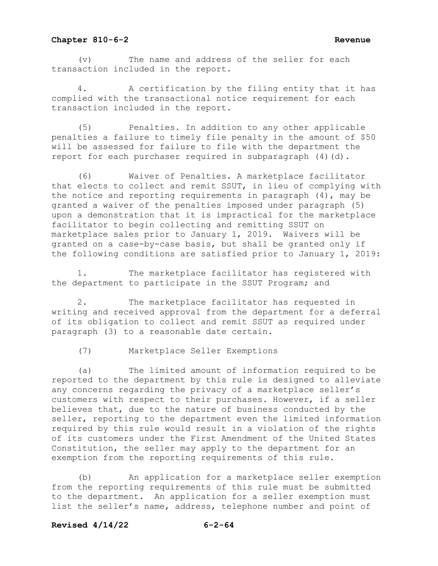(v) The name and address of the seller for each transaction included in the report.

4. A certification by the filing entity that it has complied with the transactional notice requirement for each transaction included in the report.

(5) Penalties. In addition to any other applicable penalties a failure to timely file penalty in the amount of \$50 will be assessed for failure to file with the department the report for each purchaser required in subparagraph (4)(d).

(6) Waiver of Penalties. A marketplace facilitator that elects to collect and remit SSUT, in lieu of complying with the notice and reporting requirements in paragraph (4), may be granted a waiver of the penalties imposed under paragraph (5) upon a demonstration that it is impractical for the marketplace facilitator to begin collecting and remitting SSUT on marketplace sales prior to January 1, 2019. Waivers will be granted on a case-by-case basis, but shall be granted only if the following conditions are satisfied prior to January 1, 2019:

1. The marketplace facilitator has registered with the department to participate in the SSUT Program; and

2. The marketplace facilitator has requested in writing and received approval from the department for a deferral of its obligation to collect and remit SSUT as required under paragraph (3) to a reasonable date certain.

(7) Marketplace Seller Exemptions

(a) The limited amount of information required to be reported to the department by this rule is designed to alleviate any concerns regarding the privacy of a marketplace seller's customers with respect to their purchases. However, if a seller believes that, due to the nature of business conducted by the seller, reporting to the department even the limited information required by this rule would result in a violation of the rights of its customers under the First Amendment of the United States Constitution, the seller may apply to the department for an exemption from the reporting requirements of this rule.

(b) An application for a marketplace seller exemption from the reporting requirements of this rule must be submitted to the department. An application for a seller exemption must list the seller's name, address, telephone number and point of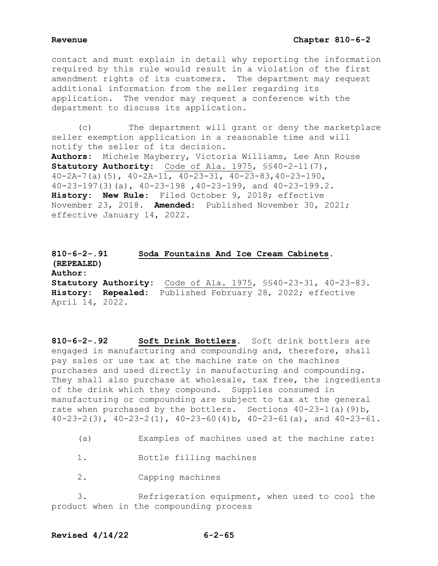contact and must explain in detail why reporting the information required by this rule would result in a violation of the first amendment rights of its customers. The department may request additional information from the seller regarding its application. The vendor may request a conference with the department to discuss its application.

 (c) The department will grant or deny the marketplace seller exemption application in a reasonable time and will notify the seller of its decision. **Authors:** Michele Mayberry, Victoria Williams, Lee Ann Rouse **Statutory Authority:** Code of Ala. 1975, §§40-2-11(7),  $40-2A-7$  (a) (5),  $40-2A-11$ ,  $40-23-31$ ,  $40-23-83$ ,  $40-23-190$ , 40-23-197(3)(a), 40-23-198 ,40-23-199, and 40-23-199.2. **History: New Rule:** Filed October 9, 2018; effective November 23, 2018. **Amended:** Published November 30, 2021; effective January 14, 2022.

# **810-6-2-.91 Soda Fountains And Ice Cream Cabinets. (REPEALED) Author: Statutory Authority:** Code of Ala. 1975, §§40-23-31, 40-23-83. **History: Repealed:** Published February 28, 2022; effective April 14, 2022.

**810-6-2-.92 Soft Drink Bottlers.** Soft drink bottlers are engaged in manufacturing and compounding and, therefore, shall pay sales or use tax at the machine rate on the machines purchases and used directly in manufacturing and compounding. They shall also purchase at wholesale, tax free, the ingredients of the drink which they compound. Supplies consumed in manufacturing or compounding are subject to tax at the general rate when purchased by the bottlers. Sections 40-23-1(a)(9)b, 40-23-2(3), 40-23-2(1), 40-23-60(4)b, 40-23-61(a), and 40-23-61.

(a) Examples of machines used at the machine rate:

1. Bottle filling machines

2. Capping machines

 3. Refrigeration equipment, when used to cool the product when in the compounding process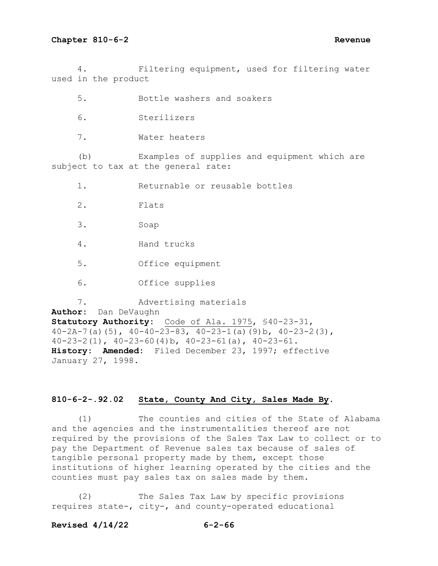4. Filtering equipment, used for filtering water used in the product

5. Bottle washers and soakers

- 6. Sterilizers
- 7. Water heaters

 (b) Examples of supplies and equipment which are subject to tax at the general rate:

1. Returnable or reusable bottles

- 2. Flats
- 3. Soap
- 4. Hand trucks
- 5. Office equipment
- 6. Office supplies

 7. Advertising materials **Author:** Dan DeVaughn **Statutory Authority:** Code of Ala. 1975, §40-23-31, 40-2A-7(a)(5),  $40-40-23-83$ ,  $40-23-1$ (a)(9)b,  $40-23-2$ (3), 40-23-2(1), 40-23-60(4)b, 40-23-61(a), 40-23-61. **History: Amended:** Filed December 23, 1997; effective January 27, 1998.

# **810-6-2-.92.02 State, County And City, Sales Made By.**

 (1) The counties and cities of the State of Alabama and the agencies and the instrumentalities thereof are not required by the provisions of the Sales Tax Law to collect or to pay the Department of Revenue sales tax because of sales of tangible personal property made by them, except those institutions of higher learning operated by the cities and the counties must pay sales tax on sales made by them.

 (2) The Sales Tax Law by specific provisions requires state-, city-, and county-operated educational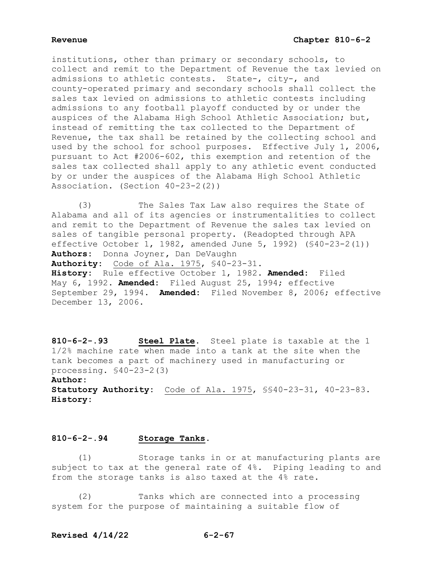institutions, other than primary or secondary schools, to collect and remit to the Department of Revenue the tax levied on admissions to athletic contests. State-, city-, and county-operated primary and secondary schools shall collect the sales tax levied on admissions to athletic contests including admissions to any football playoff conducted by or under the auspices of the Alabama High School Athletic Association; but, instead of remitting the tax collected to the Department of Revenue, the tax shall be retained by the collecting school and used by the school for school purposes. Effective July 1, 2006, pursuant to Act #2006-602, this exemption and retention of the sales tax collected shall apply to any athletic event conducted by or under the auspices of the Alabama High School Athletic Association. (Section 40-23-2(2))

 (3) The Sales Tax Law also requires the State of Alabama and all of its agencies or instrumentalities to collect and remit to the Department of Revenue the sales tax levied on sales of tangible personal property. (Readopted through APA effective October 1, 1982, amended June 5, 1992) (§40-23-2(1)) **Authors:** Donna Joyner**,** Dan DeVaughn **Authority:** Code of Ala. 1975, §40-23-31. **History:** Rule effective October 1, 1982. **Amended:** Filed May 6, 1992. **Amended:** Filed August 25, 1994; effective September 29, 1994. **Amended:** Filed November 8, 2006; effective December 13, 2006.

**810-6-2-.93 Steel Plate.** Steel plate is taxable at the 1 1/2% machine rate when made into a tank at the site when the tank becomes a part of machinery used in manufacturing or processing. §40-23-2(3) **Author: Statutory Authority:** Code of Ala. 1975, §§40-23-31, 40-23-83.

**History:**

## **810-6-2-.94 Storage Tanks.**

 (1) Storage tanks in or at manufacturing plants are subject to tax at the general rate of 4%. Piping leading to and from the storage tanks is also taxed at the 4% rate.

 (2) Tanks which are connected into a processing system for the purpose of maintaining a suitable flow of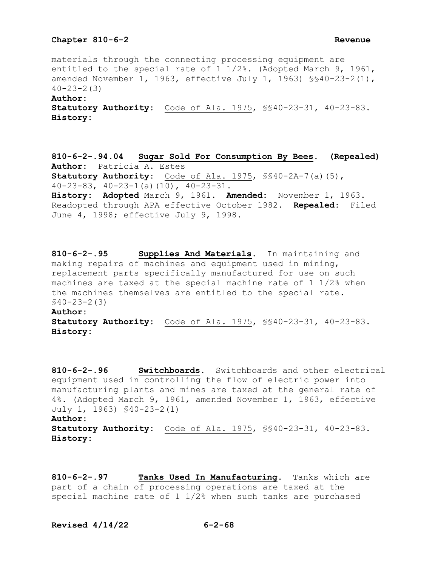materials through the connecting processing equipment are entitled to the special rate of 1 1/2%. (Adopted March 9, 1961, amended November 1, 1963, effective July 1, 1963) §§40-23-2(1),  $40 - 23 - 2(3)$ **Author: Statutory Authority:** Code of Ala. 1975, §§40-23-31, 40-23-83. **History:**

**810-6-2-.94.04 Sugar Sold For Consumption By Bees. (Repealed) Author:** Patricia A. Estes **Statutory Authority:** Code of Ala. 1975, §§40-2A-7(a)(5), 40-23-83, 40-23-1(a)(10), 40-23-31. **History: Adopted** March 9, 1961. **Amended:** November 1, 1963. Readopted through APA effective October 1982. **Repealed:** Filed June 4, 1998; effective July 9, 1998.

**810-6-2-.95 Supplies And Materials.** In maintaining and making repairs of machines and equipment used in mining, replacement parts specifically manufactured for use on such machines are taxed at the special machine rate of 1 1/2% when the machines themselves are entitled to the special rate. §40-23-2(3)

# **Author:**

**Statutory Authority:** Code of Ala. 1975, §§40-23-31, 40-23-83. **History:**

**810-6-2-.96 Switchboards.** Switchboards and other electrical equipment used in controlling the flow of electric power into manufacturing plants and mines are taxed at the general rate of 4%. (Adopted March 9, 1961, amended November 1, 1963, effective July 1, 1963) §40-23-2(1) **Author: Statutory Authority:** Code of Ala. 1975, §§40-23-31, 40-23-83. **History:**

**810-6-2-.97 Tanks Used In Manufacturing.** Tanks which are part of a chain of processing operations are taxed at the special machine rate of 1 1/2% when such tanks are purchased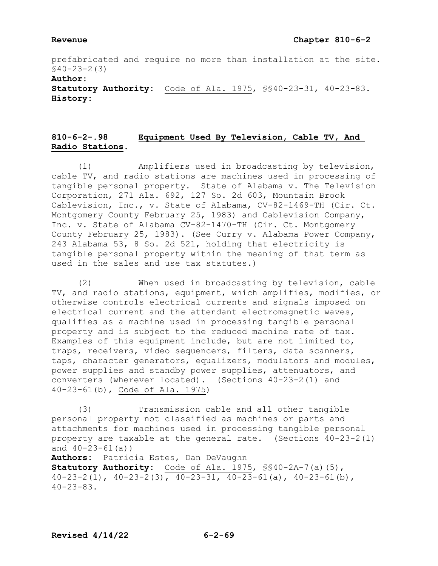prefabricated and require no more than installation at the site. §40-23-2(3)

**Author:**

**Statutory Authority:** Code of Ala. 1975, §§40-23-31, 40-23-83. **History:**

# **810-6-2-.98 Equipment Used By Television, Cable TV, And Radio Stations.**

 (1) Amplifiers used in broadcasting by television, cable TV, and radio stations are machines used in processing of tangible personal property. State of Alabama v. The Television Corporation, 271 Ala. 692, 127 So. 2d 603, Mountain Brook Cablevision, Inc., v. State of Alabama, CV-82-1469-TH (Cir. Ct. Montgomery County February 25, 1983) and Cablevision Company, Inc. v. State of Alabama CV-82-1470-TH (Cir. Ct. Montgomery County February 25, 1983). (See Curry v. Alabama Power Company, 243 Alabama 53, 8 So. 2d 521, holding that electricity is tangible personal property within the meaning of that term as used in the sales and use tax statutes.)

 (2) When used in broadcasting by television, cable TV, and radio stations, equipment, which amplifies, modifies, or otherwise controls electrical currents and signals imposed on electrical current and the attendant electromagnetic waves, qualifies as a machine used in processing tangible personal property and is subject to the reduced machine rate of tax. Examples of this equipment include, but are not limited to, traps, receivers, video sequencers, filters, data scanners, taps, character generators, equalizers, modulators and modules, power supplies and standby power supplies, attenuators, and converters (wherever located). (Sections 40-23-2(1) and 40-23-61(b), Code of Ala. 1975)

 (3) Transmission cable and all other tangible personal property not classified as machines or parts and attachments for machines used in processing tangible personal property are taxable at the general rate. (Sections 40-23-2(1) and 40-23-61(a))

**Authors:** Patricia Estes, Dan DeVaughn **Statutory Authority:** Code of Ala. 1975, §§40-2A-7(a)(5),  $40-23-2(1)$ ,  $40-23-2(3)$ ,  $40-23-31$ ,  $40-23-61(a)$ ,  $40-23-61(b)$ , 40-23-83.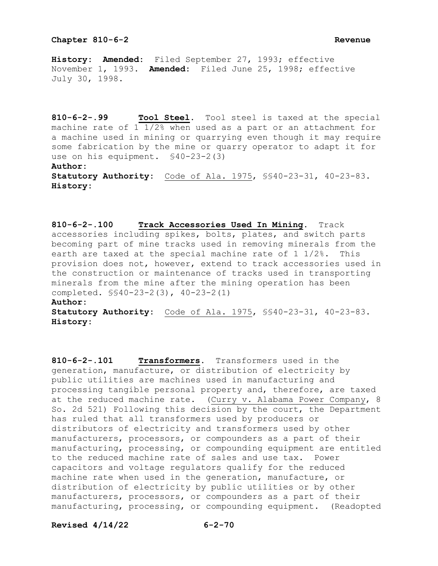**History: Amended:** Filed September 27, 1993; effective November 1, 1993. **Amended:** Filed June 25, 1998; effective July 30, 1998.

**810-6-2-.99 Tool Steel.** Tool steel is taxed at the special machine rate of 1 1/2% when used as a part or an attachment for a machine used in mining or quarrying even though it may require some fabrication by the mine or quarry operator to adapt it for use on his equipment. §40-23-2(3) **Author: Statutory Authority:** Code of Ala. 1975, §§40-23-31, 40-23-83. **History:** 

**810-6-2-.100 Track Accessories Used In Mining.** Track accessories including spikes, bolts, plates, and switch parts becoming part of mine tracks used in removing minerals from the earth are taxed at the special machine rate of 1 1/2%. This provision does not, however, extend to track accessories used in the construction or maintenance of tracks used in transporting minerals from the mine after the mining operation has been completed. §§40-23-2(3), 40-23-2(1)

## **Author:**

**Statutory Authority:** Code of Ala. 1975, §§40-23-31, 40-23-83. **History:**

**810-6-2-.101 Transformers.** Transformers used in the generation, manufacture, or distribution of electricity by public utilities are machines used in manufacturing and processing tangible personal property and, therefore, are taxed at the reduced machine rate. (Curry v. Alabama Power Company, 8 So. 2d 521) Following this decision by the court, the Department has ruled that all transformers used by producers or distributors of electricity and transformers used by other manufacturers, processors, or compounders as a part of their manufacturing, processing, or compounding equipment are entitled to the reduced machine rate of sales and use tax. Power capacitors and voltage regulators qualify for the reduced machine rate when used in the generation, manufacture, or distribution of electricity by public utilities or by other manufacturers, processors, or compounders as a part of their manufacturing, processing, or compounding equipment. (Readopted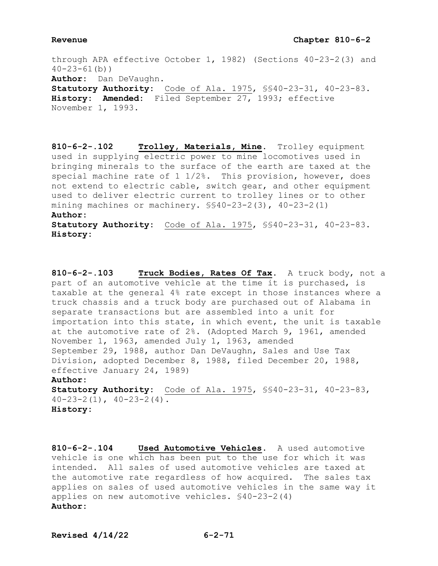## **Revenue Chapter 810-6-2**

through APA effective October 1, 1982) (Sections 40-23-2(3) and  $40 - 23 - 61$  (b)) **Author:** Dan DeVaughn. **Statutory Authority:** Code of Ala. 1975, §§40-23-31, 40-23-83. **History: Amended:** Filed September 27, 1993; effective November 1, 1993.

**810-6-2-.102 Trolley, Materials, Mine.** Trolley equipment used in supplying electric power to mine locomotives used in bringing minerals to the surface of the earth are taxed at the special machine rate of 1 1/2%. This provision, however, does not extend to electric cable, switch gear, and other equipment used to deliver electric current to trolley lines or to other mining machines or machinery.  $$$40-23-2(3)$ ,  $40-23-2(1)$ **Author: Statutory Authority:** Code of Ala. 1975, §§40-23-31, 40-23-83.

**History:**

**810-6-2-.103 Truck Bodies, Rates Of Tax.** A truck body, not a part of an automotive vehicle at the time it is purchased, is taxable at the general 4% rate except in those instances where a truck chassis and a truck body are purchased out of Alabama in separate transactions but are assembled into a unit for importation into this state, in which event, the unit is taxable at the automotive rate of 2%. (Adopted March 9, 1961, amended November 1, 1963, amended July 1, 1963, amended September 29, 1988, author Dan DeVaughn, Sales and Use Tax Division, adopted December 8, 1988, filed December 20, 1988, effective January 24, 1989) **Author: Statutory Authority:** Code of Ala. 1975, §§40-23-31, 40-23-83,  $40-23-2(1)$ ,  $40-23-2(4)$ .

**History:**

**810-6-2-.104 Used Automotive Vehicles.** A used automotive vehicle is one which has been put to the use for which it was intended. All sales of used automotive vehicles are taxed at the automotive rate regardless of how acquired. The sales tax applies on sales of used automotive vehicles in the same way it applies on new automotive vehicles. §40-23-2(4) **Author:**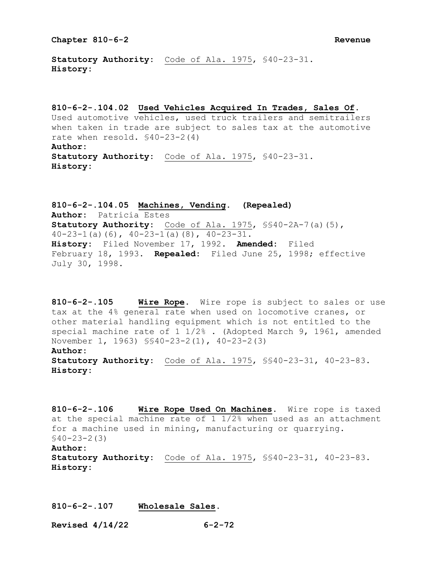**Statutory Authority:** Code of Ala. 1975, §40-23-31. **History:**

**810-6-2-.104.02 Used Vehicles Acquired In Trades, Sales Of.** Used automotive vehicles, used truck trailers and semitrailers when taken in trade are subject to sales tax at the automotive rate when resold. §40-23-2(4) **Author: Statutory Authority:** Code of Ala. 1975, §40-23-31. **History:**

**810-6-2-.104.05 Machines, Vending. (Repealed) Author:** Patricia Estes **Statutory Authority:** Code of Ala. 1975, §§40-2A-7(a)(5),  $40-23-1$  (a)(6),  $40-23-1$  (a)(8),  $40-23-31$ . **History:** Filed November 17, 1992. **Amended:** Filed February 18, 1993. **Repealed:** Filed June 25, 1998; effective July 30, 1998.

**810-6-2-.105 Wire Rope.** Wire rope is subject to sales or use tax at the 4% general rate when used on locomotive cranes, or other material handling equipment which is not entitled to the special machine rate of 1 1/2% . (Adopted March 9, 1961, amended November 1, 1963) §§40-23-2(1), 40-23-2(3) **Author:**

**Statutory Authority:** Code of Ala. 1975, §§40-23-31, 40-23-83. **History:**

**810-6-2-.106 Wire Rope Used On Machines.** Wire rope is taxed at the special machine rate of 1 1/2% when used as an attachment for a machine used in mining, manufacturing or quarrying. §40-23-2(3) **Author:**

**Statutory Authority:** Code of Ala. 1975, §§40-23-31, 40-23-83. **History:**

**810-6-2-.107 Wholesale Sales.**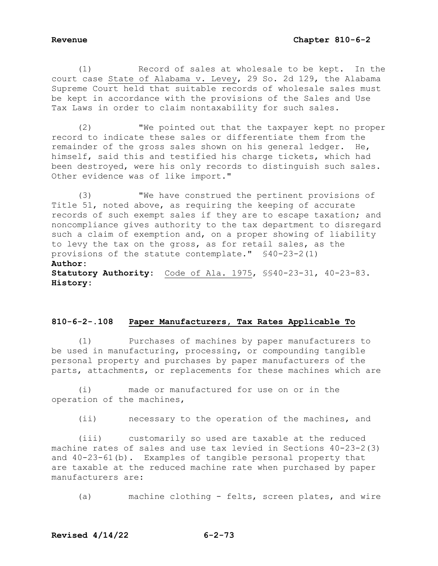(1) Record of sales at wholesale to be kept. In the court case State of Alabama v. Levey, 29 So. 2d 129, the Alabama Supreme Court held that suitable records of wholesale sales must be kept in accordance with the provisions of the Sales and Use Tax Laws in order to claim nontaxability for such sales.

 (2) "We pointed out that the taxpayer kept no proper record to indicate these sales or differentiate them from the remainder of the gross sales shown on his general ledger. He, himself, said this and testified his charge tickets, which had been destroyed, were his only records to distinguish such sales. Other evidence was of like import."

 (3) "We have construed the pertinent provisions of Title 51, noted above, as requiring the keeping of accurate records of such exempt sales if they are to escape taxation; and noncompliance gives authority to the tax department to disregard such a claim of exemption and, on a proper showing of liability to levy the tax on the gross, as for retail sales, as the provisions of the statute contemplate." §40-23-2(1) **Author: Statutory Authority:** Code of Ala. 1975, §§40-23-31, 40-23-83. **History:** 

## **810-6-2-.108 Paper Manufacturers, Tax Rates Applicable To**

 (1) Purchases of machines by paper manufacturers to be used in manufacturing, processing, or compounding tangible personal property and purchases by paper manufacturers of the parts, attachments, or replacements for these machines which are

 (i) made or manufactured for use on or in the operation of the machines,

(ii) necessary to the operation of the machines, and

 (iii) customarily so used are taxable at the reduced machine rates of sales and use tax levied in Sections 40-23-2(3) and 40-23-61(b). Examples of tangible personal property that are taxable at the reduced machine rate when purchased by paper manufacturers are:

(a) machine clothing - felts, screen plates, and wire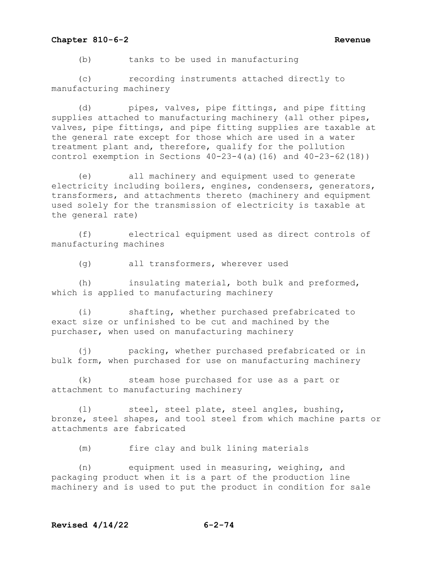### **Chapter 810-6-2 Revenue**

(b) tanks to be used in manufacturing

(c) recording instruments attached directly to manufacturing machinery

(d) pipes, valves, pipe fittings, and pipe fitting supplies attached to manufacturing machinery (all other pipes, valves, pipe fittings, and pipe fitting supplies are taxable at the general rate except for those which are used in a water treatment plant and, therefore, qualify for the pollution control exemption in Sections  $40-23-4$  (a)(16) and  $40-23-62(18)$ )

(e) all machinery and equipment used to generate electricity including boilers, engines, condensers, generators, transformers, and attachments thereto (machinery and equipment used solely for the transmission of electricity is taxable at the general rate)

(f) electrical equipment used as direct controls of manufacturing machines

(g) all transformers, wherever used

(h) insulating material, both bulk and preformed, which is applied to manufacturing machinery

(i) shafting, whether purchased prefabricated to exact size or unfinished to be cut and machined by the purchaser, when used on manufacturing machinery

(j) packing, whether purchased prefabricated or in bulk form, when purchased for use on manufacturing machinery

(k) steam hose purchased for use as a part or attachment to manufacturing machinery

(l) steel, steel plate, steel angles, bushing, bronze, steel shapes, and tool steel from which machine parts or attachments are fabricated

(m) fire clay and bulk lining materials

(n) equipment used in measuring, weighing, and packaging product when it is a part of the production line machinery and is used to put the product in condition for sale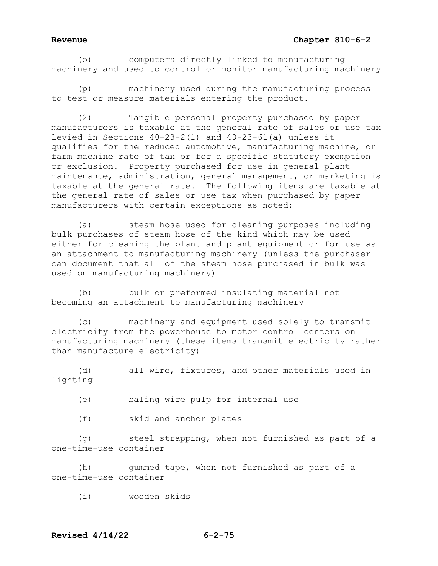### **Revenue Chapter 810-6-2**

(o) computers directly linked to manufacturing machinery and used to control or monitor manufacturing machinery

(p) machinery used during the manufacturing process to test or measure materials entering the product.

(2) Tangible personal property purchased by paper manufacturers is taxable at the general rate of sales or use tax levied in Sections  $40-23-2(1)$  and  $40-23-61(a)$  unless it qualifies for the reduced automotive, manufacturing machine, or farm machine rate of tax or for a specific statutory exemption or exclusion. Property purchased for use in general plant maintenance, administration, general management, or marketing is taxable at the general rate. The following items are taxable at the general rate of sales or use tax when purchased by paper manufacturers with certain exceptions as noted:

(a) steam hose used for cleaning purposes including bulk purchases of steam hose of the kind which may be used either for cleaning the plant and plant equipment or for use as an attachment to manufacturing machinery (unless the purchaser can document that all of the steam hose purchased in bulk was used on manufacturing machinery)

(b) bulk or preformed insulating material not becoming an attachment to manufacturing machinery

(c) machinery and equipment used solely to transmit electricity from the powerhouse to motor control centers on manufacturing machinery (these items transmit electricity rather than manufacture electricity)

(d) all wire, fixtures, and other materials used in lighting

- (e) baling wire pulp for internal use
- (f) skid and anchor plates

(g) steel strapping, when not furnished as part of a one-time-use container

(h) gummed tape, when not furnished as part of a one-time-use container

(i) wooden skids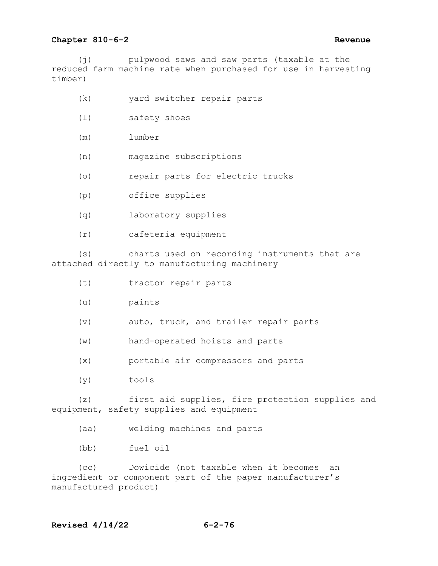### **Chapter 810-6-2 Revenue**

(j) pulpwood saws and saw parts (taxable at the reduced farm machine rate when purchased for use in harvesting timber)

- (k) yard switcher repair parts
- (l) safety shoes
- (m) lumber
- (n) magazine subscriptions
- (o) repair parts for electric trucks
- (p) office supplies
- (q) laboratory supplies
- (r) cafeteria equipment

(s) charts used on recording instruments that are attached directly to manufacturing machinery

- (t) tractor repair parts
- (u) paints
- (v) auto, truck, and trailer repair parts
- (w) hand-operated hoists and parts
- (x) portable air compressors and parts
- (y) tools

(z) first aid supplies, fire protection supplies and equipment, safety supplies and equipment

(aa) welding machines and parts

(bb) fuel oil

(cc) Dowicide (not taxable when it becomes an ingredient or component part of the paper manufacturer's manufactured product)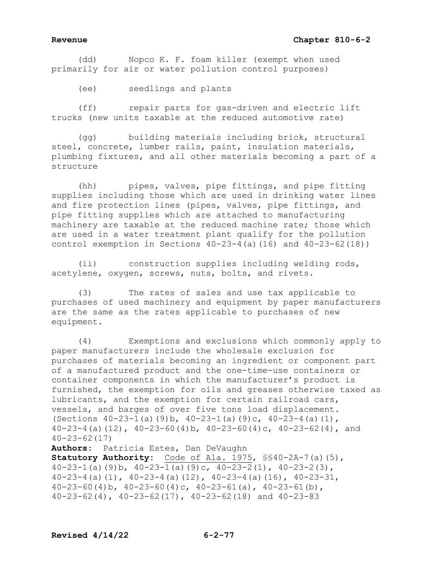# **Revenue Chapter 810-6-2**

 (dd) Nopco K. F. foam killer (exempt when used primarily for air or water pollution control purposes)

(ee) seedlings and plants

 (ff) repair parts for gas-driven and electric lift trucks (new units taxable at the reduced automotive rate)

 (gg) building materials including brick, structural steel, concrete, lumber rails, paint, insulation materials, plumbing fixtures, and all other materials becoming a part of a structure

 (hh) pipes, valves, pipe fittings, and pipe fitting supplies including those which are used in drinking water lines and fire protection lines (pipes, valves, pipe fittings, and pipe fitting supplies which are attached to manufacturing machinery are taxable at the reduced machine rate; those which are used in a water treatment plant qualify for the pollution control exemption in Sections  $40-23-4$  (a)(16) and  $40-23-62(18)$ )

 (ii) construction supplies including welding rods, acetylene, oxygen, screws, nuts, bolts, and rivets.

 (3) The rates of sales and use tax applicable to purchases of used machinery and equipment by paper manufacturers are the same as the rates applicable to purchases of new equipment.

 (4) Exemptions and exclusions which commonly apply to paper manufacturers include the wholesale exclusion for purchases of materials becoming an ingredient or component part of a manufactured product and the one-time-use containers or container components in which the manufacturer's product is furnished, the exemption for oils and greases otherwise taxed as lubricants, and the exemption for certain railroad cars, vessels, and barges of over five tons load displacement. (Sections 40-23-1(a)(9)b, 40-23-1(a)(9)c, 40-23-4(a)(1), 40-23-4(a)(12),  $40-23-60(4)$ ,  $40-23-60(4)$ c,  $40-23-62(4)$ , and 40-23-62(17)

**Authors:** Patricia Estes, Dan DeVaughn

**Statutory Authority:** Code of Ala. 1975, §§40-2A-7(a)(5), 40-23-1(a)(9)b, 40-23-1(a)(9)c, 40-23-2(1), 40-23-2(3),  $40-23-4$  (a) (1),  $40-23-4$  (a) (12),  $40-23-4$  (a)(16),  $40-23-31$ ,  $40-23-60(4)$ b,  $40-23-60(4)$ c,  $40-23-61(a)$ ,  $40-23-61(b)$ , 40-23-62(4), 40-23-62(17), 40-23-62(18) and 40-23-83